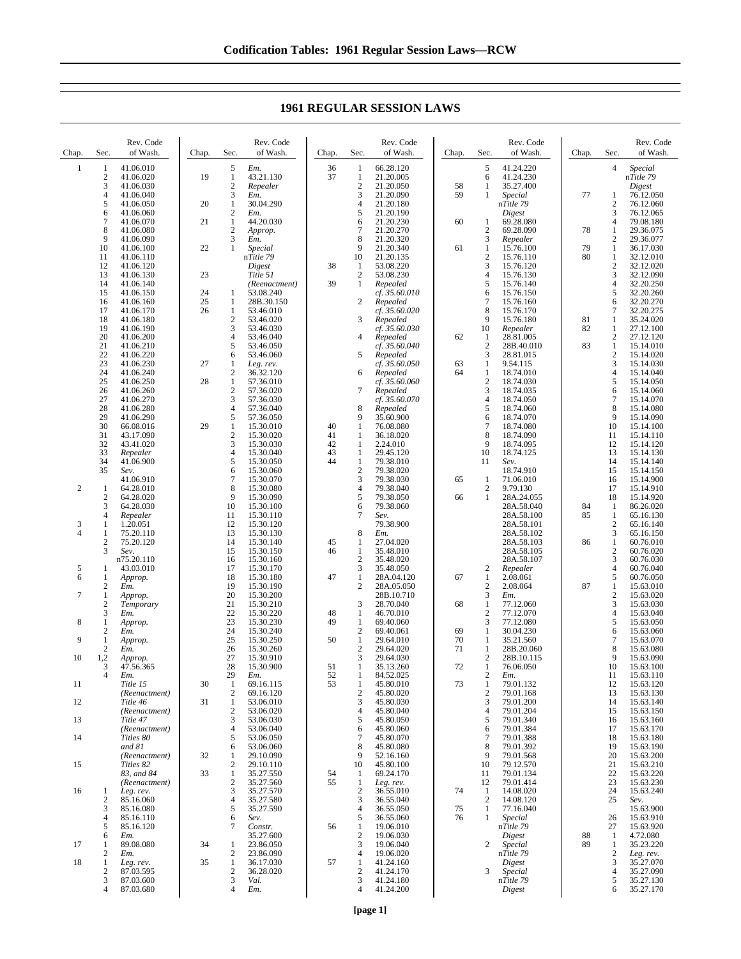| 5<br>5<br>$\mathbf{1}$<br>41.06.010<br>Em.<br>36<br>66.28.120<br>41.24.220<br>Special<br>1<br>4<br>1<br>19<br>37<br>$\boldsymbol{2}$<br>41.06.020<br>$\mathbf{1}$<br>43.21.130<br>21.20.005<br>41.24.230<br>1<br>nTitle 79<br>6<br>3<br>$\overline{c}$<br>$\overline{c}$<br>21.20.050<br>35.27.400<br>41.06.030<br>Repealer<br>58<br>1<br>Digest<br>$\overline{4}$<br>3<br>3<br>21.20.090<br>59<br>77<br>41.06.040<br>Em.<br>1<br>Special<br>76.12.050<br>1<br>5<br>20<br>$\mathbf{1}$<br>30.04.290<br>$\overline{4}$<br>21.20.180<br>nTitle 79<br>$\overline{\mathbf{c}}$<br>41.06.050<br>76.12.060<br>6<br>2<br>21.20.190<br>3<br>41.06.060<br>Em.<br>5<br>Digest<br>76.12.065<br>$\overline{7}$<br>$\,1$<br>21.20.230<br>60<br>4<br>41.06.070<br>21<br>44.20.030<br>69.28.080<br>79.08.180<br>6<br>1<br>8<br>$\overline{c}$<br>$\overline{2}$<br>7<br>69.28.090<br>41.06.080<br>21.20.270<br>78<br>1<br>29.36.075<br>Approp.<br>3<br>3<br>$\overline{c}$<br>9<br>8<br>21.20.320<br>41.06.090<br>Repealer<br>29.36.077<br>Em.<br>22<br>$\mathbf{1}$<br>61<br>79<br>$\mathbf{1}$<br>10<br>41.06.100<br>9<br>21.20.340<br>1<br>15.76.100<br>36.17.030<br><i>Special</i><br>$\sqrt{2}$<br>nTitle 79<br>21.20.135<br>15.76.110<br>80<br>$\mathbf{1}$<br>32.12.010<br>11<br>41.06.110<br>10<br>3<br>38<br>53.08.220<br>$\overline{\mathbf{c}}$<br>12<br>41.06.120<br>Digest<br>15.76.120<br>32.12.020<br>1<br>3<br>13<br>41.06.130<br>23<br>Title 51<br>$\boldsymbol{2}$<br>53.08.230<br>$\overline{4}$<br>15.76.130<br>32.12.090<br>14<br>39<br>$\mathbf{1}$<br>5<br>4<br>41.06.140<br>Repealed<br>15.76.140<br>32.20.250<br>(Reenactment)<br>15<br>24<br>53.08.240<br>5<br>41.06.150<br>$\mathbf{1}$<br>cf. 35.60.010<br>6<br>15.76.150<br>32.20.260<br>25<br>28B.30.150<br>2<br>$\overline{7}$<br>15.76.160<br>6<br>32.20.270<br>16<br>41.06.160<br>1<br>Repealed<br>8<br>26<br>7<br>17<br>41.06.170<br>1<br>53.46.010<br>cf. 35.60.020<br>15.76.170<br>32.20.275<br>$\sqrt{2}$<br>9<br>15.76.180<br>18<br>41.06.180<br>53.46.020<br>3<br>Repealed<br>81<br>1<br>35.24.020<br>3<br>19<br>41.06.190<br>cf. 35.60.030<br>10<br>Repealer<br>82<br>1<br>53.46.030<br>27.12.100<br>$\sqrt{2}$<br>20<br>4<br>28.81.005<br>27.12.120<br>41.06.200<br>53.46.040<br>Repealed<br>62<br>4<br>1<br>5<br>$\sqrt{2}$<br>21<br>83<br>$\mathbf{1}$<br>41.06.210<br>53.46.050<br>cf. 35.60.040<br>28B.40.010<br>15.14.010<br>22<br>6<br>5<br>3<br>28.81.015<br>$\overline{c}$<br>41.06.220<br>53.46.060<br>Repealed<br>15.14.020<br>3<br>23<br>27<br>cf. 35.60.050<br>$\mathbf{1}$<br>41.06.230<br>1<br>63<br>9.54.115<br>15.14.030<br>Leg. rev.<br>24<br>2<br>18.74.010<br>$\overline{4}$<br>41.06.240<br>36.32.120<br>Repealed<br>64<br>1<br>15.14.040<br>6<br>$\overline{2}$<br>25<br>28<br>$\mathbf{1}$<br>cf. 35.60.060<br>5<br>41.06.250<br>57.36.010<br>18.74.030<br>15.14.050<br>3<br>26<br>2<br>57.36.020<br>18.74.035<br>6<br>41.06.260<br>7<br>Repealed<br>15.14.060<br>3<br>27<br>$\tau$<br>$\overline{4}$<br>41.06.270<br>57.36.030<br>cf. 35.60.070<br>18.74.050<br>15.14.070<br>5<br>28<br>4<br>8<br>8<br>41.06.280<br>57.36.040<br>Repealed<br>18.74.060<br>15.14.080<br>5<br>29<br>9<br>41.06.290<br>57.36.050<br>35.60.900<br>6<br>18.74.070<br>15.14.090<br>9<br>30<br>$\mathbf{1}$<br>$\overline{7}$<br>10<br>66.08.016<br>29<br>15.30.010<br>40<br>1<br>76.08.080<br>18.74.080<br>15.14.100<br>31<br>$\overline{c}$<br>8<br>43.17.090<br>41<br>36.18.020<br>18.74.090<br>15.30.020<br>1<br>11<br>15.14.110<br>3<br>32<br>43.41.020<br>42<br>$\mathbf{1}$<br>9<br>15.30.030<br>2.24.010<br>18.74.095<br>12<br>15.14.120<br>33<br>4<br>15.30.040<br>43<br>$\mathbf{1}$<br>29.45.120<br>10<br>18.74.125<br>13<br>Repealer<br>15.14.130<br>34<br>5<br>44<br>$\mathbf{1}$<br>41.06.900<br>15.30.050<br>79.38.010<br>11<br>14<br>15.14.140<br>Sev.<br>35<br>6<br>15.30.060<br>$\boldsymbol{2}$<br>79.38.020<br>15<br>Sev.<br>18.74.910<br>15.14.150<br>3<br>7<br>79.38.030<br>71.06.010<br>41.06.910<br>15.30.070<br>65<br>1<br>16<br>15.14.900<br>$\overline{2}$<br>8<br>$\overline{2}$<br>$\mathbf{1}$<br>64.28.010<br>15.30.080<br>4<br>79.38.040<br>9.79.130<br>17<br>15.14.910<br>$\sqrt{2}$<br>9<br>64.28.020<br>5<br>79.38.050<br>15.30.090<br>66<br>1<br>28A.24.055<br>18<br>15.14.920<br>3<br>10<br>84<br>64.28.030<br>6<br>79.38.060<br>28A.58.040<br>15.30.100<br>1<br>86.26.020<br>$\overline{4}$<br>28A.58.100<br>$\mathbf{1}$<br>Repealer<br>11<br>15.30.110<br>7<br>Sev.<br>85<br>65.16.130<br>$\overline{c}$<br>12<br>79.38.900<br>3<br>1<br>1.20.051<br>15.30.120<br>28A.58.101<br>65.16.140<br>4<br>75.20.110<br>13<br>8<br>28A.58.102<br>3<br>1<br>15.30.130<br>Em.<br>65.16.150<br>$\sqrt{2}$<br>75.20.120<br>14<br>45<br>86<br>$\mathbf{1}$<br>15.30.140<br>1<br>27.04.020<br>28A.58.103<br>60.76.010<br>3<br>35.48.010<br>28A.58.105<br>$\overline{\mathbf{c}}$<br>15<br>15.30.150<br>46<br>1<br>60.76.020<br>Sev.<br>3<br>$\mathbf{2}$<br>35.48.020<br>n75.20.110<br>16<br>15.30.160<br>28A.58.107<br>60.76.030<br>17<br>3<br>35.48.050<br>$\overline{4}$<br>5<br>1<br>43.03.010<br>15.30.170<br>2<br>Repealer<br>60.76.040<br>6<br>5<br>47<br>$\mathbf{1}$<br>$\mathbf{1}$<br>1<br>18<br>15.30.180<br>28A.04.120<br>67<br>2.08.061<br>60.76.050<br>Approp.<br>$\sqrt{2}$<br>$\overline{2}$<br>19<br>$\mathbf{2}$<br>$\mathbf{1}$<br>15.30.190<br>28A.05.050<br>2.08.064<br>87<br>15.63.010<br>Em.<br>20<br>3<br>$\mathbf{2}$<br>$\tau$<br>$\mathbf{1}$<br>15.30.200<br>28B.10.710<br>Em.<br>15.63.020<br>Approp.<br>$\sqrt{2}$<br>21<br>3<br>3<br>68<br>$\mathbf{1}$<br>28.70.040<br>77.12.060<br>15.63.030<br>Temporary<br>15.30.210<br>22<br>$\overline{2}$<br>3<br>15.30.220<br>48<br>46.70.010<br>77.12.070<br>$\overline{4}$<br>15.63.040<br>1<br>Em.<br>23<br>3<br>$\mathbf{1}$<br>49<br>$\mathbf{1}$<br>5<br>8<br>15.30.230<br>69.40.060<br>77.12.080<br>15.63.050<br>Approp.<br>$\boldsymbol{2}$<br>24<br>15.30.240<br>$\boldsymbol{2}$<br>69.40.061<br>69<br>30.04.230<br>6<br>Em.<br>1<br>15.63.060<br>$\tau$<br>9<br>25<br>50<br>$\mathbf{1}$<br>70<br>1<br>15.30.250<br>29.64.010<br>1<br>35.21.560<br>15.63.070<br>Approp.<br>8<br>$\overline{2}$<br>26<br>$\overline{2}$<br>15.30.260<br>29.64.020<br>71<br>1<br>28B.20.060<br>15.63.080<br>Em.<br>27<br>3<br>$\overline{2}$<br>9<br>1,2<br>15.30.910<br>29.64.030<br>10<br>Approp.<br>28B.10.115<br>15.63.090<br>28<br>72<br>$\mathbf{1}$<br>10<br>3<br>47.56.365<br>15.30.900<br>51<br>35.13.260<br>76.06.050<br>15.63.100<br>1<br>29<br>4<br>52<br>84.52.025<br>2<br>Em.<br>Em.<br>Em.<br>11<br>15.63.110<br>11<br>Title 15<br>30<br>53<br>45.80.010<br>73<br>79.01.132<br>69.16.115<br>12<br>15.63.120<br>1<br>1<br>1<br>2<br>2<br>45.80.020<br>$\boldsymbol{2}$<br>79.01.168<br>(Reenactment)<br>69.16.120<br>13<br>15.63.130<br>3<br>3<br>12<br>45.80.030<br>79.01.200<br>Title 46<br>31<br>1<br>53.06.010<br>14<br>15.63.140<br>2<br>45.80.040<br>79.01.204<br>15.63.150<br>(Reenactment)<br>53.06.020<br>4<br>$\overline{4}$<br>15<br>13<br>3<br>5<br>45.80.050<br>5<br>79.01.340<br>Title 47<br>53.06.030<br>16<br>15.63.160<br>79.01.384<br>(Reenactment)<br>4<br>53.06.040<br>45.80.060<br>17<br>15.63.170<br>6<br>6<br>14<br>5<br>45.80.070<br>$\overline{7}$<br>79.01.388<br>Titles 80<br>53.06.050<br>7<br>18<br>15.63.180<br>8<br>45.80.080<br>79.01.392<br>19<br>15.63.190<br>and 81<br>6<br>53.06.060<br>8<br>32<br>29.10.090<br>9<br>52.16.160<br>9<br>79.01.568<br>20<br>15.63.200<br>(Reenactment)<br>1<br>79.12.570<br>21<br>15<br>Titles 82<br>2<br>29.10.110<br>10<br>45.80.100<br>10<br>15.63.210<br>54<br>79.01.134<br>22<br>83, and 84<br>33<br>1<br>35.27.550<br>69.24.170<br>15.63.220<br>$\mathbf{1}$<br>11<br>2<br>55<br>79.01.414<br>23<br>(Reenactment)<br>35.27.560<br>1<br>12<br>15.63.230<br>Leg. rev.<br>3<br>35.27.570<br>$\mathbf{2}$<br>36.55.010<br>14.08.020<br>24<br>16<br>Leg. rev.<br>74<br>15.63.240<br>-1<br>1<br>$\mathfrak{2}$<br>85.16.060<br>4<br>3<br>2<br>14.08.120<br>25<br>35.27.580<br>36.55.040<br>Sev.<br>3<br>85.16.080<br>5<br>36.55.050<br>77.16.040<br>35.27.590<br>4<br>75<br>1<br>15.63.900<br>$\overline{4}$<br>85.16.110<br>6<br>5<br>36.55.060<br>76<br>-1<br>Special<br>26<br>15.63.910<br>Sev.<br>5<br>19.06.010<br>27<br>85.16.120<br>7<br>56<br>1<br>nTitle 79<br>15.63.920<br>Constr.<br>$\boldsymbol{2}$<br>19.06.030<br>6<br>35.27.600<br>Digest<br>88<br>1<br>4.72.080<br>Em.<br>89.08.080<br>3<br>17<br>34<br>23.86.050<br>19.06.040<br>2<br>Special<br>89<br>$\mathbf{1}$<br>35.23.220<br>1<br>1<br>2<br>2<br>23.86.090<br>4<br>19.06.020<br>nTitle 79<br>2<br>Em.<br>Leg. rev. | Chap. | Sec. | Rev. Code<br>of Wash. | Chap. | Sec. | Rev. Code<br>of Wash. | Chap. | Sec. | Rev. Code<br>of Wash. | Chap. | Sec. | Rev. Code<br>of Wash. | Chap. | Sec. | Rev. Code<br>of Wash. |
|-------------------------------------------------------------------------------------------------------------------------------------------------------------------------------------------------------------------------------------------------------------------------------------------------------------------------------------------------------------------------------------------------------------------------------------------------------------------------------------------------------------------------------------------------------------------------------------------------------------------------------------------------------------------------------------------------------------------------------------------------------------------------------------------------------------------------------------------------------------------------------------------------------------------------------------------------------------------------------------------------------------------------------------------------------------------------------------------------------------------------------------------------------------------------------------------------------------------------------------------------------------------------------------------------------------------------------------------------------------------------------------------------------------------------------------------------------------------------------------------------------------------------------------------------------------------------------------------------------------------------------------------------------------------------------------------------------------------------------------------------------------------------------------------------------------------------------------------------------------------------------------------------------------------------------------------------------------------------------------------------------------------------------------------------------------------------------------------------------------------------------------------------------------------------------------------------------------------------------------------------------------------------------------------------------------------------------------------------------------------------------------------------------------------------------------------------------------------------------------------------------------------------------------------------------------------------------------------------------------------------------------------------------------------------------------------------------------------------------------------------------------------------------------------------------------------------------------------------------------------------------------------------------------------------------------------------------------------------------------------------------------------------------------------------------------------------------------------------------------------------------------------------------------------------------------------------------------------------------------------------------------------------------------------------------------------------------------------------------------------------------------------------------------------------------------------------------------------------------------------------------------------------------------------------------------------------------------------------------------------------------------------------------------------------------------------------------------------------------------------------------------------------------------------------------------------------------------------------------------------------------------------------------------------------------------------------------------------------------------------------------------------------------------------------------------------------------------------------------------------------------------------------------------------------------------------------------------------------------------------------------------------------------------------------------------------------------------------------------------------------------------------------------------------------------------------------------------------------------------------------------------------------------------------------------------------------------------------------------------------------------------------------------------------------------------------------------------------------------------------------------------------------------------------------------------------------------------------------------------------------------------------------------------------------------------------------------------------------------------------------------------------------------------------------------------------------------------------------------------------------------------------------------------------------------------------------------------------------------------------------------------------------------------------------------------------------------------------------------------------------------------------------------------------------------------------------------------------------------------------------------------------------------------------------------------------------------------------------------------------------------------------------------------------------------------------------------------------------------------------------------------------------------------------------------------------------------------------------------------------------------------------------------------------------------------------------------------------------------------------------------------------------------------------------------------------------------------------------------------------------------------------------------------------------------------------------------------------------------------------------------------------------------------------------------------------------------------------------------------------------------------------------------------------------------------------------------------------------------------------------------------------------------------------------------------------------------------------------------------------------------------------------------------------------------------------------------------------------------------------------------------------------------------------------------------------------------------------------------------------------------------------------------------------------------------------------------------------------------------------------------------------------------------------------------------------------------------------------------------------------------------------------------------------------------------------------------------------------------------------------------------------------------------------------------------------------------------------------------------------------------------------------------------------------------------------------------------------------------------------------------------------------------------------------------------------------------------------------------------------------------------------------------------------------------------------------------------------------------------------------------------------------------------------------------------------------------------------------------------------------------------------------------------------------------------------------------------------------------------------------------------------------------------------------------------------------------------------------------------------------------------------------------------------------------------------------------------------------------------------------------------------------------------------------------------------------------------------------------------------------------------------------------------------------------------------------------------------------------------------------------------------------------------------------------------------------------------------------------------------------------------------------|-------|------|-----------------------|-------|------|-----------------------|-------|------|-----------------------|-------|------|-----------------------|-------|------|-----------------------|
|                                                                                                                                                                                                                                                                                                                                                                                                                                                                                                                                                                                                                                                                                                                                                                                                                                                                                                                                                                                                                                                                                                                                                                                                                                                                                                                                                                                                                                                                                                                                                                                                                                                                                                                                                                                                                                                                                                                                                                                                                                                                                                                                                                                                                                                                                                                                                                                                                                                                                                                                                                                                                                                                                                                                                                                                                                                                                                                                                                                                                                                                                                                                                                                                                                                                                                                                                                                                                                                                                                                                                                                                                                                                                                                                                                                                                                                                                                                                                                                                                                                                                                                                                                                                                                                                                                                                                                                                                                                                                                                                                                                                                                                                                                                                                                                                                                                                                                                                                                                                                                                                                                                                                                                                                                                                                                                                                                                                                                                                                                                                                                                                                                                                                                                                                                                                                                                                                                                                                                                                                                                                                                                                                                                                                                                                                                                                                                                                                                                                                                                                                                                                                                                                                                                                                                                                                                                                                                                                                                                                                                                                                                                                                                                                                                                                                                                                                                                                                                                                                                                                                                                                                                                                                                                                                                                                                                                                                                                                                                                                                                                                                                                                                                                                                                                                                                                                                                                                                                                                                                                                                                                                                                                 |       |      |                       |       |      |                       |       |      |                       |       |      |                       |       |      |                       |
|                                                                                                                                                                                                                                                                                                                                                                                                                                                                                                                                                                                                                                                                                                                                                                                                                                                                                                                                                                                                                                                                                                                                                                                                                                                                                                                                                                                                                                                                                                                                                                                                                                                                                                                                                                                                                                                                                                                                                                                                                                                                                                                                                                                                                                                                                                                                                                                                                                                                                                                                                                                                                                                                                                                                                                                                                                                                                                                                                                                                                                                                                                                                                                                                                                                                                                                                                                                                                                                                                                                                                                                                                                                                                                                                                                                                                                                                                                                                                                                                                                                                                                                                                                                                                                                                                                                                                                                                                                                                                                                                                                                                                                                                                                                                                                                                                                                                                                                                                                                                                                                                                                                                                                                                                                                                                                                                                                                                                                                                                                                                                                                                                                                                                                                                                                                                                                                                                                                                                                                                                                                                                                                                                                                                                                                                                                                                                                                                                                                                                                                                                                                                                                                                                                                                                                                                                                                                                                                                                                                                                                                                                                                                                                                                                                                                                                                                                                                                                                                                                                                                                                                                                                                                                                                                                                                                                                                                                                                                                                                                                                                                                                                                                                                                                                                                                                                                                                                                                                                                                                                                                                                                                                                 |       |      |                       |       |      |                       |       |      |                       |       |      |                       |       |      |                       |
|                                                                                                                                                                                                                                                                                                                                                                                                                                                                                                                                                                                                                                                                                                                                                                                                                                                                                                                                                                                                                                                                                                                                                                                                                                                                                                                                                                                                                                                                                                                                                                                                                                                                                                                                                                                                                                                                                                                                                                                                                                                                                                                                                                                                                                                                                                                                                                                                                                                                                                                                                                                                                                                                                                                                                                                                                                                                                                                                                                                                                                                                                                                                                                                                                                                                                                                                                                                                                                                                                                                                                                                                                                                                                                                                                                                                                                                                                                                                                                                                                                                                                                                                                                                                                                                                                                                                                                                                                                                                                                                                                                                                                                                                                                                                                                                                                                                                                                                                                                                                                                                                                                                                                                                                                                                                                                                                                                                                                                                                                                                                                                                                                                                                                                                                                                                                                                                                                                                                                                                                                                                                                                                                                                                                                                                                                                                                                                                                                                                                                                                                                                                                                                                                                                                                                                                                                                                                                                                                                                                                                                                                                                                                                                                                                                                                                                                                                                                                                                                                                                                                                                                                                                                                                                                                                                                                                                                                                                                                                                                                                                                                                                                                                                                                                                                                                                                                                                                                                                                                                                                                                                                                                                                 |       |      |                       |       |      |                       |       |      |                       |       |      |                       |       |      |                       |
|                                                                                                                                                                                                                                                                                                                                                                                                                                                                                                                                                                                                                                                                                                                                                                                                                                                                                                                                                                                                                                                                                                                                                                                                                                                                                                                                                                                                                                                                                                                                                                                                                                                                                                                                                                                                                                                                                                                                                                                                                                                                                                                                                                                                                                                                                                                                                                                                                                                                                                                                                                                                                                                                                                                                                                                                                                                                                                                                                                                                                                                                                                                                                                                                                                                                                                                                                                                                                                                                                                                                                                                                                                                                                                                                                                                                                                                                                                                                                                                                                                                                                                                                                                                                                                                                                                                                                                                                                                                                                                                                                                                                                                                                                                                                                                                                                                                                                                                                                                                                                                                                                                                                                                                                                                                                                                                                                                                                                                                                                                                                                                                                                                                                                                                                                                                                                                                                                                                                                                                                                                                                                                                                                                                                                                                                                                                                                                                                                                                                                                                                                                                                                                                                                                                                                                                                                                                                                                                                                                                                                                                                                                                                                                                                                                                                                                                                                                                                                                                                                                                                                                                                                                                                                                                                                                                                                                                                                                                                                                                                                                                                                                                                                                                                                                                                                                                                                                                                                                                                                                                                                                                                                                                 |       |      |                       |       |      |                       |       |      |                       |       |      |                       |       |      |                       |
|                                                                                                                                                                                                                                                                                                                                                                                                                                                                                                                                                                                                                                                                                                                                                                                                                                                                                                                                                                                                                                                                                                                                                                                                                                                                                                                                                                                                                                                                                                                                                                                                                                                                                                                                                                                                                                                                                                                                                                                                                                                                                                                                                                                                                                                                                                                                                                                                                                                                                                                                                                                                                                                                                                                                                                                                                                                                                                                                                                                                                                                                                                                                                                                                                                                                                                                                                                                                                                                                                                                                                                                                                                                                                                                                                                                                                                                                                                                                                                                                                                                                                                                                                                                                                                                                                                                                                                                                                                                                                                                                                                                                                                                                                                                                                                                                                                                                                                                                                                                                                                                                                                                                                                                                                                                                                                                                                                                                                                                                                                                                                                                                                                                                                                                                                                                                                                                                                                                                                                                                                                                                                                                                                                                                                                                                                                                                                                                                                                                                                                                                                                                                                                                                                                                                                                                                                                                                                                                                                                                                                                                                                                                                                                                                                                                                                                                                                                                                                                                                                                                                                                                                                                                                                                                                                                                                                                                                                                                                                                                                                                                                                                                                                                                                                                                                                                                                                                                                                                                                                                                                                                                                                                                 |       |      |                       |       |      |                       |       |      |                       |       |      |                       |       |      |                       |
|                                                                                                                                                                                                                                                                                                                                                                                                                                                                                                                                                                                                                                                                                                                                                                                                                                                                                                                                                                                                                                                                                                                                                                                                                                                                                                                                                                                                                                                                                                                                                                                                                                                                                                                                                                                                                                                                                                                                                                                                                                                                                                                                                                                                                                                                                                                                                                                                                                                                                                                                                                                                                                                                                                                                                                                                                                                                                                                                                                                                                                                                                                                                                                                                                                                                                                                                                                                                                                                                                                                                                                                                                                                                                                                                                                                                                                                                                                                                                                                                                                                                                                                                                                                                                                                                                                                                                                                                                                                                                                                                                                                                                                                                                                                                                                                                                                                                                                                                                                                                                                                                                                                                                                                                                                                                                                                                                                                                                                                                                                                                                                                                                                                                                                                                                                                                                                                                                                                                                                                                                                                                                                                                                                                                                                                                                                                                                                                                                                                                                                                                                                                                                                                                                                                                                                                                                                                                                                                                                                                                                                                                                                                                                                                                                                                                                                                                                                                                                                                                                                                                                                                                                                                                                                                                                                                                                                                                                                                                                                                                                                                                                                                                                                                                                                                                                                                                                                                                                                                                                                                                                                                                                                                 |       |      |                       |       |      |                       |       |      |                       |       |      |                       |       |      |                       |
|                                                                                                                                                                                                                                                                                                                                                                                                                                                                                                                                                                                                                                                                                                                                                                                                                                                                                                                                                                                                                                                                                                                                                                                                                                                                                                                                                                                                                                                                                                                                                                                                                                                                                                                                                                                                                                                                                                                                                                                                                                                                                                                                                                                                                                                                                                                                                                                                                                                                                                                                                                                                                                                                                                                                                                                                                                                                                                                                                                                                                                                                                                                                                                                                                                                                                                                                                                                                                                                                                                                                                                                                                                                                                                                                                                                                                                                                                                                                                                                                                                                                                                                                                                                                                                                                                                                                                                                                                                                                                                                                                                                                                                                                                                                                                                                                                                                                                                                                                                                                                                                                                                                                                                                                                                                                                                                                                                                                                                                                                                                                                                                                                                                                                                                                                                                                                                                                                                                                                                                                                                                                                                                                                                                                                                                                                                                                                                                                                                                                                                                                                                                                                                                                                                                                                                                                                                                                                                                                                                                                                                                                                                                                                                                                                                                                                                                                                                                                                                                                                                                                                                                                                                                                                                                                                                                                                                                                                                                                                                                                                                                                                                                                                                                                                                                                                                                                                                                                                                                                                                                                                                                                                                                 |       |      |                       |       |      |                       |       |      |                       |       |      |                       |       |      |                       |
|                                                                                                                                                                                                                                                                                                                                                                                                                                                                                                                                                                                                                                                                                                                                                                                                                                                                                                                                                                                                                                                                                                                                                                                                                                                                                                                                                                                                                                                                                                                                                                                                                                                                                                                                                                                                                                                                                                                                                                                                                                                                                                                                                                                                                                                                                                                                                                                                                                                                                                                                                                                                                                                                                                                                                                                                                                                                                                                                                                                                                                                                                                                                                                                                                                                                                                                                                                                                                                                                                                                                                                                                                                                                                                                                                                                                                                                                                                                                                                                                                                                                                                                                                                                                                                                                                                                                                                                                                                                                                                                                                                                                                                                                                                                                                                                                                                                                                                                                                                                                                                                                                                                                                                                                                                                                                                                                                                                                                                                                                                                                                                                                                                                                                                                                                                                                                                                                                                                                                                                                                                                                                                                                                                                                                                                                                                                                                                                                                                                                                                                                                                                                                                                                                                                                                                                                                                                                                                                                                                                                                                                                                                                                                                                                                                                                                                                                                                                                                                                                                                                                                                                                                                                                                                                                                                                                                                                                                                                                                                                                                                                                                                                                                                                                                                                                                                                                                                                                                                                                                                                                                                                                                                                 |       |      |                       |       |      |                       |       |      |                       |       |      |                       |       |      |                       |
|                                                                                                                                                                                                                                                                                                                                                                                                                                                                                                                                                                                                                                                                                                                                                                                                                                                                                                                                                                                                                                                                                                                                                                                                                                                                                                                                                                                                                                                                                                                                                                                                                                                                                                                                                                                                                                                                                                                                                                                                                                                                                                                                                                                                                                                                                                                                                                                                                                                                                                                                                                                                                                                                                                                                                                                                                                                                                                                                                                                                                                                                                                                                                                                                                                                                                                                                                                                                                                                                                                                                                                                                                                                                                                                                                                                                                                                                                                                                                                                                                                                                                                                                                                                                                                                                                                                                                                                                                                                                                                                                                                                                                                                                                                                                                                                                                                                                                                                                                                                                                                                                                                                                                                                                                                                                                                                                                                                                                                                                                                                                                                                                                                                                                                                                                                                                                                                                                                                                                                                                                                                                                                                                                                                                                                                                                                                                                                                                                                                                                                                                                                                                                                                                                                                                                                                                                                                                                                                                                                                                                                                                                                                                                                                                                                                                                                                                                                                                                                                                                                                                                                                                                                                                                                                                                                                                                                                                                                                                                                                                                                                                                                                                                                                                                                                                                                                                                                                                                                                                                                                                                                                                                                                 |       |      |                       |       |      |                       |       |      |                       |       |      |                       |       |      |                       |
|                                                                                                                                                                                                                                                                                                                                                                                                                                                                                                                                                                                                                                                                                                                                                                                                                                                                                                                                                                                                                                                                                                                                                                                                                                                                                                                                                                                                                                                                                                                                                                                                                                                                                                                                                                                                                                                                                                                                                                                                                                                                                                                                                                                                                                                                                                                                                                                                                                                                                                                                                                                                                                                                                                                                                                                                                                                                                                                                                                                                                                                                                                                                                                                                                                                                                                                                                                                                                                                                                                                                                                                                                                                                                                                                                                                                                                                                                                                                                                                                                                                                                                                                                                                                                                                                                                                                                                                                                                                                                                                                                                                                                                                                                                                                                                                                                                                                                                                                                                                                                                                                                                                                                                                                                                                                                                                                                                                                                                                                                                                                                                                                                                                                                                                                                                                                                                                                                                                                                                                                                                                                                                                                                                                                                                                                                                                                                                                                                                                                                                                                                                                                                                                                                                                                                                                                                                                                                                                                                                                                                                                                                                                                                                                                                                                                                                                                                                                                                                                                                                                                                                                                                                                                                                                                                                                                                                                                                                                                                                                                                                                                                                                                                                                                                                                                                                                                                                                                                                                                                                                                                                                                                                                 |       |      |                       |       |      |                       |       |      |                       |       |      |                       |       |      |                       |
|                                                                                                                                                                                                                                                                                                                                                                                                                                                                                                                                                                                                                                                                                                                                                                                                                                                                                                                                                                                                                                                                                                                                                                                                                                                                                                                                                                                                                                                                                                                                                                                                                                                                                                                                                                                                                                                                                                                                                                                                                                                                                                                                                                                                                                                                                                                                                                                                                                                                                                                                                                                                                                                                                                                                                                                                                                                                                                                                                                                                                                                                                                                                                                                                                                                                                                                                                                                                                                                                                                                                                                                                                                                                                                                                                                                                                                                                                                                                                                                                                                                                                                                                                                                                                                                                                                                                                                                                                                                                                                                                                                                                                                                                                                                                                                                                                                                                                                                                                                                                                                                                                                                                                                                                                                                                                                                                                                                                                                                                                                                                                                                                                                                                                                                                                                                                                                                                                                                                                                                                                                                                                                                                                                                                                                                                                                                                                                                                                                                                                                                                                                                                                                                                                                                                                                                                                                                                                                                                                                                                                                                                                                                                                                                                                                                                                                                                                                                                                                                                                                                                                                                                                                                                                                                                                                                                                                                                                                                                                                                                                                                                                                                                                                                                                                                                                                                                                                                                                                                                                                                                                                                                                                                 |       |      |                       |       |      |                       |       |      |                       |       |      |                       |       |      |                       |
|                                                                                                                                                                                                                                                                                                                                                                                                                                                                                                                                                                                                                                                                                                                                                                                                                                                                                                                                                                                                                                                                                                                                                                                                                                                                                                                                                                                                                                                                                                                                                                                                                                                                                                                                                                                                                                                                                                                                                                                                                                                                                                                                                                                                                                                                                                                                                                                                                                                                                                                                                                                                                                                                                                                                                                                                                                                                                                                                                                                                                                                                                                                                                                                                                                                                                                                                                                                                                                                                                                                                                                                                                                                                                                                                                                                                                                                                                                                                                                                                                                                                                                                                                                                                                                                                                                                                                                                                                                                                                                                                                                                                                                                                                                                                                                                                                                                                                                                                                                                                                                                                                                                                                                                                                                                                                                                                                                                                                                                                                                                                                                                                                                                                                                                                                                                                                                                                                                                                                                                                                                                                                                                                                                                                                                                                                                                                                                                                                                                                                                                                                                                                                                                                                                                                                                                                                                                                                                                                                                                                                                                                                                                                                                                                                                                                                                                                                                                                                                                                                                                                                                                                                                                                                                                                                                                                                                                                                                                                                                                                                                                                                                                                                                                                                                                                                                                                                                                                                                                                                                                                                                                                                                                 |       |      |                       |       |      |                       |       |      |                       |       |      |                       |       |      |                       |
|                                                                                                                                                                                                                                                                                                                                                                                                                                                                                                                                                                                                                                                                                                                                                                                                                                                                                                                                                                                                                                                                                                                                                                                                                                                                                                                                                                                                                                                                                                                                                                                                                                                                                                                                                                                                                                                                                                                                                                                                                                                                                                                                                                                                                                                                                                                                                                                                                                                                                                                                                                                                                                                                                                                                                                                                                                                                                                                                                                                                                                                                                                                                                                                                                                                                                                                                                                                                                                                                                                                                                                                                                                                                                                                                                                                                                                                                                                                                                                                                                                                                                                                                                                                                                                                                                                                                                                                                                                                                                                                                                                                                                                                                                                                                                                                                                                                                                                                                                                                                                                                                                                                                                                                                                                                                                                                                                                                                                                                                                                                                                                                                                                                                                                                                                                                                                                                                                                                                                                                                                                                                                                                                                                                                                                                                                                                                                                                                                                                                                                                                                                                                                                                                                                                                                                                                                                                                                                                                                                                                                                                                                                                                                                                                                                                                                                                                                                                                                                                                                                                                                                                                                                                                                                                                                                                                                                                                                                                                                                                                                                                                                                                                                                                                                                                                                                                                                                                                                                                                                                                                                                                                                                                 |       |      |                       |       |      |                       |       |      |                       |       |      |                       |       |      |                       |
|                                                                                                                                                                                                                                                                                                                                                                                                                                                                                                                                                                                                                                                                                                                                                                                                                                                                                                                                                                                                                                                                                                                                                                                                                                                                                                                                                                                                                                                                                                                                                                                                                                                                                                                                                                                                                                                                                                                                                                                                                                                                                                                                                                                                                                                                                                                                                                                                                                                                                                                                                                                                                                                                                                                                                                                                                                                                                                                                                                                                                                                                                                                                                                                                                                                                                                                                                                                                                                                                                                                                                                                                                                                                                                                                                                                                                                                                                                                                                                                                                                                                                                                                                                                                                                                                                                                                                                                                                                                                                                                                                                                                                                                                                                                                                                                                                                                                                                                                                                                                                                                                                                                                                                                                                                                                                                                                                                                                                                                                                                                                                                                                                                                                                                                                                                                                                                                                                                                                                                                                                                                                                                                                                                                                                                                                                                                                                                                                                                                                                                                                                                                                                                                                                                                                                                                                                                                                                                                                                                                                                                                                                                                                                                                                                                                                                                                                                                                                                                                                                                                                                                                                                                                                                                                                                                                                                                                                                                                                                                                                                                                                                                                                                                                                                                                                                                                                                                                                                                                                                                                                                                                                                                                 |       |      |                       |       |      |                       |       |      |                       |       |      |                       |       |      |                       |
|                                                                                                                                                                                                                                                                                                                                                                                                                                                                                                                                                                                                                                                                                                                                                                                                                                                                                                                                                                                                                                                                                                                                                                                                                                                                                                                                                                                                                                                                                                                                                                                                                                                                                                                                                                                                                                                                                                                                                                                                                                                                                                                                                                                                                                                                                                                                                                                                                                                                                                                                                                                                                                                                                                                                                                                                                                                                                                                                                                                                                                                                                                                                                                                                                                                                                                                                                                                                                                                                                                                                                                                                                                                                                                                                                                                                                                                                                                                                                                                                                                                                                                                                                                                                                                                                                                                                                                                                                                                                                                                                                                                                                                                                                                                                                                                                                                                                                                                                                                                                                                                                                                                                                                                                                                                                                                                                                                                                                                                                                                                                                                                                                                                                                                                                                                                                                                                                                                                                                                                                                                                                                                                                                                                                                                                                                                                                                                                                                                                                                                                                                                                                                                                                                                                                                                                                                                                                                                                                                                                                                                                                                                                                                                                                                                                                                                                                                                                                                                                                                                                                                                                                                                                                                                                                                                                                                                                                                                                                                                                                                                                                                                                                                                                                                                                                                                                                                                                                                                                                                                                                                                                                                                                 |       |      |                       |       |      |                       |       |      |                       |       |      |                       |       |      |                       |
|                                                                                                                                                                                                                                                                                                                                                                                                                                                                                                                                                                                                                                                                                                                                                                                                                                                                                                                                                                                                                                                                                                                                                                                                                                                                                                                                                                                                                                                                                                                                                                                                                                                                                                                                                                                                                                                                                                                                                                                                                                                                                                                                                                                                                                                                                                                                                                                                                                                                                                                                                                                                                                                                                                                                                                                                                                                                                                                                                                                                                                                                                                                                                                                                                                                                                                                                                                                                                                                                                                                                                                                                                                                                                                                                                                                                                                                                                                                                                                                                                                                                                                                                                                                                                                                                                                                                                                                                                                                                                                                                                                                                                                                                                                                                                                                                                                                                                                                                                                                                                                                                                                                                                                                                                                                                                                                                                                                                                                                                                                                                                                                                                                                                                                                                                                                                                                                                                                                                                                                                                                                                                                                                                                                                                                                                                                                                                                                                                                                                                                                                                                                                                                                                                                                                                                                                                                                                                                                                                                                                                                                                                                                                                                                                                                                                                                                                                                                                                                                                                                                                                                                                                                                                                                                                                                                                                                                                                                                                                                                                                                                                                                                                                                                                                                                                                                                                                                                                                                                                                                                                                                                                                                                 |       |      |                       |       |      |                       |       |      |                       |       |      |                       |       |      |                       |
|                                                                                                                                                                                                                                                                                                                                                                                                                                                                                                                                                                                                                                                                                                                                                                                                                                                                                                                                                                                                                                                                                                                                                                                                                                                                                                                                                                                                                                                                                                                                                                                                                                                                                                                                                                                                                                                                                                                                                                                                                                                                                                                                                                                                                                                                                                                                                                                                                                                                                                                                                                                                                                                                                                                                                                                                                                                                                                                                                                                                                                                                                                                                                                                                                                                                                                                                                                                                                                                                                                                                                                                                                                                                                                                                                                                                                                                                                                                                                                                                                                                                                                                                                                                                                                                                                                                                                                                                                                                                                                                                                                                                                                                                                                                                                                                                                                                                                                                                                                                                                                                                                                                                                                                                                                                                                                                                                                                                                                                                                                                                                                                                                                                                                                                                                                                                                                                                                                                                                                                                                                                                                                                                                                                                                                                                                                                                                                                                                                                                                                                                                                                                                                                                                                                                                                                                                                                                                                                                                                                                                                                                                                                                                                                                                                                                                                                                                                                                                                                                                                                                                                                                                                                                                                                                                                                                                                                                                                                                                                                                                                                                                                                                                                                                                                                                                                                                                                                                                                                                                                                                                                                                                                                 |       |      |                       |       |      |                       |       |      |                       |       |      |                       |       |      |                       |
|                                                                                                                                                                                                                                                                                                                                                                                                                                                                                                                                                                                                                                                                                                                                                                                                                                                                                                                                                                                                                                                                                                                                                                                                                                                                                                                                                                                                                                                                                                                                                                                                                                                                                                                                                                                                                                                                                                                                                                                                                                                                                                                                                                                                                                                                                                                                                                                                                                                                                                                                                                                                                                                                                                                                                                                                                                                                                                                                                                                                                                                                                                                                                                                                                                                                                                                                                                                                                                                                                                                                                                                                                                                                                                                                                                                                                                                                                                                                                                                                                                                                                                                                                                                                                                                                                                                                                                                                                                                                                                                                                                                                                                                                                                                                                                                                                                                                                                                                                                                                                                                                                                                                                                                                                                                                                                                                                                                                                                                                                                                                                                                                                                                                                                                                                                                                                                                                                                                                                                                                                                                                                                                                                                                                                                                                                                                                                                                                                                                                                                                                                                                                                                                                                                                                                                                                                                                                                                                                                                                                                                                                                                                                                                                                                                                                                                                                                                                                                                                                                                                                                                                                                                                                                                                                                                                                                                                                                                                                                                                                                                                                                                                                                                                                                                                                                                                                                                                                                                                                                                                                                                                                                                                 |       |      |                       |       |      |                       |       |      |                       |       |      |                       |       |      |                       |
|                                                                                                                                                                                                                                                                                                                                                                                                                                                                                                                                                                                                                                                                                                                                                                                                                                                                                                                                                                                                                                                                                                                                                                                                                                                                                                                                                                                                                                                                                                                                                                                                                                                                                                                                                                                                                                                                                                                                                                                                                                                                                                                                                                                                                                                                                                                                                                                                                                                                                                                                                                                                                                                                                                                                                                                                                                                                                                                                                                                                                                                                                                                                                                                                                                                                                                                                                                                                                                                                                                                                                                                                                                                                                                                                                                                                                                                                                                                                                                                                                                                                                                                                                                                                                                                                                                                                                                                                                                                                                                                                                                                                                                                                                                                                                                                                                                                                                                                                                                                                                                                                                                                                                                                                                                                                                                                                                                                                                                                                                                                                                                                                                                                                                                                                                                                                                                                                                                                                                                                                                                                                                                                                                                                                                                                                                                                                                                                                                                                                                                                                                                                                                                                                                                                                                                                                                                                                                                                                                                                                                                                                                                                                                                                                                                                                                                                                                                                                                                                                                                                                                                                                                                                                                                                                                                                                                                                                                                                                                                                                                                                                                                                                                                                                                                                                                                                                                                                                                                                                                                                                                                                                                                                 |       |      |                       |       |      |                       |       |      |                       |       |      |                       |       |      |                       |
|                                                                                                                                                                                                                                                                                                                                                                                                                                                                                                                                                                                                                                                                                                                                                                                                                                                                                                                                                                                                                                                                                                                                                                                                                                                                                                                                                                                                                                                                                                                                                                                                                                                                                                                                                                                                                                                                                                                                                                                                                                                                                                                                                                                                                                                                                                                                                                                                                                                                                                                                                                                                                                                                                                                                                                                                                                                                                                                                                                                                                                                                                                                                                                                                                                                                                                                                                                                                                                                                                                                                                                                                                                                                                                                                                                                                                                                                                                                                                                                                                                                                                                                                                                                                                                                                                                                                                                                                                                                                                                                                                                                                                                                                                                                                                                                                                                                                                                                                                                                                                                                                                                                                                                                                                                                                                                                                                                                                                                                                                                                                                                                                                                                                                                                                                                                                                                                                                                                                                                                                                                                                                                                                                                                                                                                                                                                                                                                                                                                                                                                                                                                                                                                                                                                                                                                                                                                                                                                                                                                                                                                                                                                                                                                                                                                                                                                                                                                                                                                                                                                                                                                                                                                                                                                                                                                                                                                                                                                                                                                                                                                                                                                                                                                                                                                                                                                                                                                                                                                                                                                                                                                                                                                 |       |      |                       |       |      |                       |       |      |                       |       |      |                       |       |      |                       |
|                                                                                                                                                                                                                                                                                                                                                                                                                                                                                                                                                                                                                                                                                                                                                                                                                                                                                                                                                                                                                                                                                                                                                                                                                                                                                                                                                                                                                                                                                                                                                                                                                                                                                                                                                                                                                                                                                                                                                                                                                                                                                                                                                                                                                                                                                                                                                                                                                                                                                                                                                                                                                                                                                                                                                                                                                                                                                                                                                                                                                                                                                                                                                                                                                                                                                                                                                                                                                                                                                                                                                                                                                                                                                                                                                                                                                                                                                                                                                                                                                                                                                                                                                                                                                                                                                                                                                                                                                                                                                                                                                                                                                                                                                                                                                                                                                                                                                                                                                                                                                                                                                                                                                                                                                                                                                                                                                                                                                                                                                                                                                                                                                                                                                                                                                                                                                                                                                                                                                                                                                                                                                                                                                                                                                                                                                                                                                                                                                                                                                                                                                                                                                                                                                                                                                                                                                                                                                                                                                                                                                                                                                                                                                                                                                                                                                                                                                                                                                                                                                                                                                                                                                                                                                                                                                                                                                                                                                                                                                                                                                                                                                                                                                                                                                                                                                                                                                                                                                                                                                                                                                                                                                                                 |       |      |                       |       |      |                       |       |      |                       |       |      |                       |       |      |                       |
|                                                                                                                                                                                                                                                                                                                                                                                                                                                                                                                                                                                                                                                                                                                                                                                                                                                                                                                                                                                                                                                                                                                                                                                                                                                                                                                                                                                                                                                                                                                                                                                                                                                                                                                                                                                                                                                                                                                                                                                                                                                                                                                                                                                                                                                                                                                                                                                                                                                                                                                                                                                                                                                                                                                                                                                                                                                                                                                                                                                                                                                                                                                                                                                                                                                                                                                                                                                                                                                                                                                                                                                                                                                                                                                                                                                                                                                                                                                                                                                                                                                                                                                                                                                                                                                                                                                                                                                                                                                                                                                                                                                                                                                                                                                                                                                                                                                                                                                                                                                                                                                                                                                                                                                                                                                                                                                                                                                                                                                                                                                                                                                                                                                                                                                                                                                                                                                                                                                                                                                                                                                                                                                                                                                                                                                                                                                                                                                                                                                                                                                                                                                                                                                                                                                                                                                                                                                                                                                                                                                                                                                                                                                                                                                                                                                                                                                                                                                                                                                                                                                                                                                                                                                                                                                                                                                                                                                                                                                                                                                                                                                                                                                                                                                                                                                                                                                                                                                                                                                                                                                                                                                                                                                 |       |      |                       |       |      |                       |       |      |                       |       |      |                       |       |      |                       |
|                                                                                                                                                                                                                                                                                                                                                                                                                                                                                                                                                                                                                                                                                                                                                                                                                                                                                                                                                                                                                                                                                                                                                                                                                                                                                                                                                                                                                                                                                                                                                                                                                                                                                                                                                                                                                                                                                                                                                                                                                                                                                                                                                                                                                                                                                                                                                                                                                                                                                                                                                                                                                                                                                                                                                                                                                                                                                                                                                                                                                                                                                                                                                                                                                                                                                                                                                                                                                                                                                                                                                                                                                                                                                                                                                                                                                                                                                                                                                                                                                                                                                                                                                                                                                                                                                                                                                                                                                                                                                                                                                                                                                                                                                                                                                                                                                                                                                                                                                                                                                                                                                                                                                                                                                                                                                                                                                                                                                                                                                                                                                                                                                                                                                                                                                                                                                                                                                                                                                                                                                                                                                                                                                                                                                                                                                                                                                                                                                                                                                                                                                                                                                                                                                                                                                                                                                                                                                                                                                                                                                                                                                                                                                                                                                                                                                                                                                                                                                                                                                                                                                                                                                                                                                                                                                                                                                                                                                                                                                                                                                                                                                                                                                                                                                                                                                                                                                                                                                                                                                                                                                                                                                                                 |       |      |                       |       |      |                       |       |      |                       |       |      |                       |       |      |                       |
|                                                                                                                                                                                                                                                                                                                                                                                                                                                                                                                                                                                                                                                                                                                                                                                                                                                                                                                                                                                                                                                                                                                                                                                                                                                                                                                                                                                                                                                                                                                                                                                                                                                                                                                                                                                                                                                                                                                                                                                                                                                                                                                                                                                                                                                                                                                                                                                                                                                                                                                                                                                                                                                                                                                                                                                                                                                                                                                                                                                                                                                                                                                                                                                                                                                                                                                                                                                                                                                                                                                                                                                                                                                                                                                                                                                                                                                                                                                                                                                                                                                                                                                                                                                                                                                                                                                                                                                                                                                                                                                                                                                                                                                                                                                                                                                                                                                                                                                                                                                                                                                                                                                                                                                                                                                                                                                                                                                                                                                                                                                                                                                                                                                                                                                                                                                                                                                                                                                                                                                                                                                                                                                                                                                                                                                                                                                                                                                                                                                                                                                                                                                                                                                                                                                                                                                                                                                                                                                                                                                                                                                                                                                                                                                                                                                                                                                                                                                                                                                                                                                                                                                                                                                                                                                                                                                                                                                                                                                                                                                                                                                                                                                                                                                                                                                                                                                                                                                                                                                                                                                                                                                                                                                 |       |      |                       |       |      |                       |       |      |                       |       |      |                       |       |      |                       |
|                                                                                                                                                                                                                                                                                                                                                                                                                                                                                                                                                                                                                                                                                                                                                                                                                                                                                                                                                                                                                                                                                                                                                                                                                                                                                                                                                                                                                                                                                                                                                                                                                                                                                                                                                                                                                                                                                                                                                                                                                                                                                                                                                                                                                                                                                                                                                                                                                                                                                                                                                                                                                                                                                                                                                                                                                                                                                                                                                                                                                                                                                                                                                                                                                                                                                                                                                                                                                                                                                                                                                                                                                                                                                                                                                                                                                                                                                                                                                                                                                                                                                                                                                                                                                                                                                                                                                                                                                                                                                                                                                                                                                                                                                                                                                                                                                                                                                                                                                                                                                                                                                                                                                                                                                                                                                                                                                                                                                                                                                                                                                                                                                                                                                                                                                                                                                                                                                                                                                                                                                                                                                                                                                                                                                                                                                                                                                                                                                                                                                                                                                                                                                                                                                                                                                                                                                                                                                                                                                                                                                                                                                                                                                                                                                                                                                                                                                                                                                                                                                                                                                                                                                                                                                                                                                                                                                                                                                                                                                                                                                                                                                                                                                                                                                                                                                                                                                                                                                                                                                                                                                                                                                                                 |       |      |                       |       |      |                       |       |      |                       |       |      |                       |       |      |                       |
|                                                                                                                                                                                                                                                                                                                                                                                                                                                                                                                                                                                                                                                                                                                                                                                                                                                                                                                                                                                                                                                                                                                                                                                                                                                                                                                                                                                                                                                                                                                                                                                                                                                                                                                                                                                                                                                                                                                                                                                                                                                                                                                                                                                                                                                                                                                                                                                                                                                                                                                                                                                                                                                                                                                                                                                                                                                                                                                                                                                                                                                                                                                                                                                                                                                                                                                                                                                                                                                                                                                                                                                                                                                                                                                                                                                                                                                                                                                                                                                                                                                                                                                                                                                                                                                                                                                                                                                                                                                                                                                                                                                                                                                                                                                                                                                                                                                                                                                                                                                                                                                                                                                                                                                                                                                                                                                                                                                                                                                                                                                                                                                                                                                                                                                                                                                                                                                                                                                                                                                                                                                                                                                                                                                                                                                                                                                                                                                                                                                                                                                                                                                                                                                                                                                                                                                                                                                                                                                                                                                                                                                                                                                                                                                                                                                                                                                                                                                                                                                                                                                                                                                                                                                                                                                                                                                                                                                                                                                                                                                                                                                                                                                                                                                                                                                                                                                                                                                                                                                                                                                                                                                                                                                 |       |      |                       |       |      |                       |       |      |                       |       |      |                       |       |      |                       |
|                                                                                                                                                                                                                                                                                                                                                                                                                                                                                                                                                                                                                                                                                                                                                                                                                                                                                                                                                                                                                                                                                                                                                                                                                                                                                                                                                                                                                                                                                                                                                                                                                                                                                                                                                                                                                                                                                                                                                                                                                                                                                                                                                                                                                                                                                                                                                                                                                                                                                                                                                                                                                                                                                                                                                                                                                                                                                                                                                                                                                                                                                                                                                                                                                                                                                                                                                                                                                                                                                                                                                                                                                                                                                                                                                                                                                                                                                                                                                                                                                                                                                                                                                                                                                                                                                                                                                                                                                                                                                                                                                                                                                                                                                                                                                                                                                                                                                                                                                                                                                                                                                                                                                                                                                                                                                                                                                                                                                                                                                                                                                                                                                                                                                                                                                                                                                                                                                                                                                                                                                                                                                                                                                                                                                                                                                                                                                                                                                                                                                                                                                                                                                                                                                                                                                                                                                                                                                                                                                                                                                                                                                                                                                                                                                                                                                                                                                                                                                                                                                                                                                                                                                                                                                                                                                                                                                                                                                                                                                                                                                                                                                                                                                                                                                                                                                                                                                                                                                                                                                                                                                                                                                                                 |       |      |                       |       |      |                       |       |      |                       |       |      |                       |       |      |                       |
|                                                                                                                                                                                                                                                                                                                                                                                                                                                                                                                                                                                                                                                                                                                                                                                                                                                                                                                                                                                                                                                                                                                                                                                                                                                                                                                                                                                                                                                                                                                                                                                                                                                                                                                                                                                                                                                                                                                                                                                                                                                                                                                                                                                                                                                                                                                                                                                                                                                                                                                                                                                                                                                                                                                                                                                                                                                                                                                                                                                                                                                                                                                                                                                                                                                                                                                                                                                                                                                                                                                                                                                                                                                                                                                                                                                                                                                                                                                                                                                                                                                                                                                                                                                                                                                                                                                                                                                                                                                                                                                                                                                                                                                                                                                                                                                                                                                                                                                                                                                                                                                                                                                                                                                                                                                                                                                                                                                                                                                                                                                                                                                                                                                                                                                                                                                                                                                                                                                                                                                                                                                                                                                                                                                                                                                                                                                                                                                                                                                                                                                                                                                                                                                                                                                                                                                                                                                                                                                                                                                                                                                                                                                                                                                                                                                                                                                                                                                                                                                                                                                                                                                                                                                                                                                                                                                                                                                                                                                                                                                                                                                                                                                                                                                                                                                                                                                                                                                                                                                                                                                                                                                                                                                 |       |      |                       |       |      |                       |       |      |                       |       |      |                       |       |      |                       |
|                                                                                                                                                                                                                                                                                                                                                                                                                                                                                                                                                                                                                                                                                                                                                                                                                                                                                                                                                                                                                                                                                                                                                                                                                                                                                                                                                                                                                                                                                                                                                                                                                                                                                                                                                                                                                                                                                                                                                                                                                                                                                                                                                                                                                                                                                                                                                                                                                                                                                                                                                                                                                                                                                                                                                                                                                                                                                                                                                                                                                                                                                                                                                                                                                                                                                                                                                                                                                                                                                                                                                                                                                                                                                                                                                                                                                                                                                                                                                                                                                                                                                                                                                                                                                                                                                                                                                                                                                                                                                                                                                                                                                                                                                                                                                                                                                                                                                                                                                                                                                                                                                                                                                                                                                                                                                                                                                                                                                                                                                                                                                                                                                                                                                                                                                                                                                                                                                                                                                                                                                                                                                                                                                                                                                                                                                                                                                                                                                                                                                                                                                                                                                                                                                                                                                                                                                                                                                                                                                                                                                                                                                                                                                                                                                                                                                                                                                                                                                                                                                                                                                                                                                                                                                                                                                                                                                                                                                                                                                                                                                                                                                                                                                                                                                                                                                                                                                                                                                                                                                                                                                                                                                                                 |       |      |                       |       |      |                       |       |      |                       |       |      |                       |       |      |                       |
|                                                                                                                                                                                                                                                                                                                                                                                                                                                                                                                                                                                                                                                                                                                                                                                                                                                                                                                                                                                                                                                                                                                                                                                                                                                                                                                                                                                                                                                                                                                                                                                                                                                                                                                                                                                                                                                                                                                                                                                                                                                                                                                                                                                                                                                                                                                                                                                                                                                                                                                                                                                                                                                                                                                                                                                                                                                                                                                                                                                                                                                                                                                                                                                                                                                                                                                                                                                                                                                                                                                                                                                                                                                                                                                                                                                                                                                                                                                                                                                                                                                                                                                                                                                                                                                                                                                                                                                                                                                                                                                                                                                                                                                                                                                                                                                                                                                                                                                                                                                                                                                                                                                                                                                                                                                                                                                                                                                                                                                                                                                                                                                                                                                                                                                                                                                                                                                                                                                                                                                                                                                                                                                                                                                                                                                                                                                                                                                                                                                                                                                                                                                                                                                                                                                                                                                                                                                                                                                                                                                                                                                                                                                                                                                                                                                                                                                                                                                                                                                                                                                                                                                                                                                                                                                                                                                                                                                                                                                                                                                                                                                                                                                                                                                                                                                                                                                                                                                                                                                                                                                                                                                                                                                 |       |      |                       |       |      |                       |       |      |                       |       |      |                       |       |      |                       |
|                                                                                                                                                                                                                                                                                                                                                                                                                                                                                                                                                                                                                                                                                                                                                                                                                                                                                                                                                                                                                                                                                                                                                                                                                                                                                                                                                                                                                                                                                                                                                                                                                                                                                                                                                                                                                                                                                                                                                                                                                                                                                                                                                                                                                                                                                                                                                                                                                                                                                                                                                                                                                                                                                                                                                                                                                                                                                                                                                                                                                                                                                                                                                                                                                                                                                                                                                                                                                                                                                                                                                                                                                                                                                                                                                                                                                                                                                                                                                                                                                                                                                                                                                                                                                                                                                                                                                                                                                                                                                                                                                                                                                                                                                                                                                                                                                                                                                                                                                                                                                                                                                                                                                                                                                                                                                                                                                                                                                                                                                                                                                                                                                                                                                                                                                                                                                                                                                                                                                                                                                                                                                                                                                                                                                                                                                                                                                                                                                                                                                                                                                                                                                                                                                                                                                                                                                                                                                                                                                                                                                                                                                                                                                                                                                                                                                                                                                                                                                                                                                                                                                                                                                                                                                                                                                                                                                                                                                                                                                                                                                                                                                                                                                                                                                                                                                                                                                                                                                                                                                                                                                                                                                                                 |       |      |                       |       |      |                       |       |      |                       |       |      |                       |       |      |                       |
|                                                                                                                                                                                                                                                                                                                                                                                                                                                                                                                                                                                                                                                                                                                                                                                                                                                                                                                                                                                                                                                                                                                                                                                                                                                                                                                                                                                                                                                                                                                                                                                                                                                                                                                                                                                                                                                                                                                                                                                                                                                                                                                                                                                                                                                                                                                                                                                                                                                                                                                                                                                                                                                                                                                                                                                                                                                                                                                                                                                                                                                                                                                                                                                                                                                                                                                                                                                                                                                                                                                                                                                                                                                                                                                                                                                                                                                                                                                                                                                                                                                                                                                                                                                                                                                                                                                                                                                                                                                                                                                                                                                                                                                                                                                                                                                                                                                                                                                                                                                                                                                                                                                                                                                                                                                                                                                                                                                                                                                                                                                                                                                                                                                                                                                                                                                                                                                                                                                                                                                                                                                                                                                                                                                                                                                                                                                                                                                                                                                                                                                                                                                                                                                                                                                                                                                                                                                                                                                                                                                                                                                                                                                                                                                                                                                                                                                                                                                                                                                                                                                                                                                                                                                                                                                                                                                                                                                                                                                                                                                                                                                                                                                                                                                                                                                                                                                                                                                                                                                                                                                                                                                                                                                 |       |      |                       |       |      |                       |       |      |                       |       |      |                       |       |      |                       |
|                                                                                                                                                                                                                                                                                                                                                                                                                                                                                                                                                                                                                                                                                                                                                                                                                                                                                                                                                                                                                                                                                                                                                                                                                                                                                                                                                                                                                                                                                                                                                                                                                                                                                                                                                                                                                                                                                                                                                                                                                                                                                                                                                                                                                                                                                                                                                                                                                                                                                                                                                                                                                                                                                                                                                                                                                                                                                                                                                                                                                                                                                                                                                                                                                                                                                                                                                                                                                                                                                                                                                                                                                                                                                                                                                                                                                                                                                                                                                                                                                                                                                                                                                                                                                                                                                                                                                                                                                                                                                                                                                                                                                                                                                                                                                                                                                                                                                                                                                                                                                                                                                                                                                                                                                                                                                                                                                                                                                                                                                                                                                                                                                                                                                                                                                                                                                                                                                                                                                                                                                                                                                                                                                                                                                                                                                                                                                                                                                                                                                                                                                                                                                                                                                                                                                                                                                                                                                                                                                                                                                                                                                                                                                                                                                                                                                                                                                                                                                                                                                                                                                                                                                                                                                                                                                                                                                                                                                                                                                                                                                                                                                                                                                                                                                                                                                                                                                                                                                                                                                                                                                                                                                                                 |       |      |                       |       |      |                       |       |      |                       |       |      |                       |       |      |                       |
|                                                                                                                                                                                                                                                                                                                                                                                                                                                                                                                                                                                                                                                                                                                                                                                                                                                                                                                                                                                                                                                                                                                                                                                                                                                                                                                                                                                                                                                                                                                                                                                                                                                                                                                                                                                                                                                                                                                                                                                                                                                                                                                                                                                                                                                                                                                                                                                                                                                                                                                                                                                                                                                                                                                                                                                                                                                                                                                                                                                                                                                                                                                                                                                                                                                                                                                                                                                                                                                                                                                                                                                                                                                                                                                                                                                                                                                                                                                                                                                                                                                                                                                                                                                                                                                                                                                                                                                                                                                                                                                                                                                                                                                                                                                                                                                                                                                                                                                                                                                                                                                                                                                                                                                                                                                                                                                                                                                                                                                                                                                                                                                                                                                                                                                                                                                                                                                                                                                                                                                                                                                                                                                                                                                                                                                                                                                                                                                                                                                                                                                                                                                                                                                                                                                                                                                                                                                                                                                                                                                                                                                                                                                                                                                                                                                                                                                                                                                                                                                                                                                                                                                                                                                                                                                                                                                                                                                                                                                                                                                                                                                                                                                                                                                                                                                                                                                                                                                                                                                                                                                                                                                                                                                 |       |      |                       |       |      |                       |       |      |                       |       |      |                       |       |      |                       |
|                                                                                                                                                                                                                                                                                                                                                                                                                                                                                                                                                                                                                                                                                                                                                                                                                                                                                                                                                                                                                                                                                                                                                                                                                                                                                                                                                                                                                                                                                                                                                                                                                                                                                                                                                                                                                                                                                                                                                                                                                                                                                                                                                                                                                                                                                                                                                                                                                                                                                                                                                                                                                                                                                                                                                                                                                                                                                                                                                                                                                                                                                                                                                                                                                                                                                                                                                                                                                                                                                                                                                                                                                                                                                                                                                                                                                                                                                                                                                                                                                                                                                                                                                                                                                                                                                                                                                                                                                                                                                                                                                                                                                                                                                                                                                                                                                                                                                                                                                                                                                                                                                                                                                                                                                                                                                                                                                                                                                                                                                                                                                                                                                                                                                                                                                                                                                                                                                                                                                                                                                                                                                                                                                                                                                                                                                                                                                                                                                                                                                                                                                                                                                                                                                                                                                                                                                                                                                                                                                                                                                                                                                                                                                                                                                                                                                                                                                                                                                                                                                                                                                                                                                                                                                                                                                                                                                                                                                                                                                                                                                                                                                                                                                                                                                                                                                                                                                                                                                                                                                                                                                                                                                                                 |       |      |                       |       |      |                       |       |      |                       |       |      |                       |       |      |                       |
|                                                                                                                                                                                                                                                                                                                                                                                                                                                                                                                                                                                                                                                                                                                                                                                                                                                                                                                                                                                                                                                                                                                                                                                                                                                                                                                                                                                                                                                                                                                                                                                                                                                                                                                                                                                                                                                                                                                                                                                                                                                                                                                                                                                                                                                                                                                                                                                                                                                                                                                                                                                                                                                                                                                                                                                                                                                                                                                                                                                                                                                                                                                                                                                                                                                                                                                                                                                                                                                                                                                                                                                                                                                                                                                                                                                                                                                                                                                                                                                                                                                                                                                                                                                                                                                                                                                                                                                                                                                                                                                                                                                                                                                                                                                                                                                                                                                                                                                                                                                                                                                                                                                                                                                                                                                                                                                                                                                                                                                                                                                                                                                                                                                                                                                                                                                                                                                                                                                                                                                                                                                                                                                                                                                                                                                                                                                                                                                                                                                                                                                                                                                                                                                                                                                                                                                                                                                                                                                                                                                                                                                                                                                                                                                                                                                                                                                                                                                                                                                                                                                                                                                                                                                                                                                                                                                                                                                                                                                                                                                                                                                                                                                                                                                                                                                                                                                                                                                                                                                                                                                                                                                                                                                 |       |      |                       |       |      |                       |       |      |                       |       |      |                       |       |      |                       |
|                                                                                                                                                                                                                                                                                                                                                                                                                                                                                                                                                                                                                                                                                                                                                                                                                                                                                                                                                                                                                                                                                                                                                                                                                                                                                                                                                                                                                                                                                                                                                                                                                                                                                                                                                                                                                                                                                                                                                                                                                                                                                                                                                                                                                                                                                                                                                                                                                                                                                                                                                                                                                                                                                                                                                                                                                                                                                                                                                                                                                                                                                                                                                                                                                                                                                                                                                                                                                                                                                                                                                                                                                                                                                                                                                                                                                                                                                                                                                                                                                                                                                                                                                                                                                                                                                                                                                                                                                                                                                                                                                                                                                                                                                                                                                                                                                                                                                                                                                                                                                                                                                                                                                                                                                                                                                                                                                                                                                                                                                                                                                                                                                                                                                                                                                                                                                                                                                                                                                                                                                                                                                                                                                                                                                                                                                                                                                                                                                                                                                                                                                                                                                                                                                                                                                                                                                                                                                                                                                                                                                                                                                                                                                                                                                                                                                                                                                                                                                                                                                                                                                                                                                                                                                                                                                                                                                                                                                                                                                                                                                                                                                                                                                                                                                                                                                                                                                                                                                                                                                                                                                                                                                                                 |       |      |                       |       |      |                       |       |      |                       |       |      |                       |       |      |                       |
|                                                                                                                                                                                                                                                                                                                                                                                                                                                                                                                                                                                                                                                                                                                                                                                                                                                                                                                                                                                                                                                                                                                                                                                                                                                                                                                                                                                                                                                                                                                                                                                                                                                                                                                                                                                                                                                                                                                                                                                                                                                                                                                                                                                                                                                                                                                                                                                                                                                                                                                                                                                                                                                                                                                                                                                                                                                                                                                                                                                                                                                                                                                                                                                                                                                                                                                                                                                                                                                                                                                                                                                                                                                                                                                                                                                                                                                                                                                                                                                                                                                                                                                                                                                                                                                                                                                                                                                                                                                                                                                                                                                                                                                                                                                                                                                                                                                                                                                                                                                                                                                                                                                                                                                                                                                                                                                                                                                                                                                                                                                                                                                                                                                                                                                                                                                                                                                                                                                                                                                                                                                                                                                                                                                                                                                                                                                                                                                                                                                                                                                                                                                                                                                                                                                                                                                                                                                                                                                                                                                                                                                                                                                                                                                                                                                                                                                                                                                                                                                                                                                                                                                                                                                                                                                                                                                                                                                                                                                                                                                                                                                                                                                                                                                                                                                                                                                                                                                                                                                                                                                                                                                                                                                 |       |      |                       |       |      |                       |       |      |                       |       |      |                       |       |      |                       |
|                                                                                                                                                                                                                                                                                                                                                                                                                                                                                                                                                                                                                                                                                                                                                                                                                                                                                                                                                                                                                                                                                                                                                                                                                                                                                                                                                                                                                                                                                                                                                                                                                                                                                                                                                                                                                                                                                                                                                                                                                                                                                                                                                                                                                                                                                                                                                                                                                                                                                                                                                                                                                                                                                                                                                                                                                                                                                                                                                                                                                                                                                                                                                                                                                                                                                                                                                                                                                                                                                                                                                                                                                                                                                                                                                                                                                                                                                                                                                                                                                                                                                                                                                                                                                                                                                                                                                                                                                                                                                                                                                                                                                                                                                                                                                                                                                                                                                                                                                                                                                                                                                                                                                                                                                                                                                                                                                                                                                                                                                                                                                                                                                                                                                                                                                                                                                                                                                                                                                                                                                                                                                                                                                                                                                                                                                                                                                                                                                                                                                                                                                                                                                                                                                                                                                                                                                                                                                                                                                                                                                                                                                                                                                                                                                                                                                                                                                                                                                                                                                                                                                                                                                                                                                                                                                                                                                                                                                                                                                                                                                                                                                                                                                                                                                                                                                                                                                                                                                                                                                                                                                                                                                                                 |       |      |                       |       |      |                       |       |      |                       |       |      |                       |       |      |                       |
|                                                                                                                                                                                                                                                                                                                                                                                                                                                                                                                                                                                                                                                                                                                                                                                                                                                                                                                                                                                                                                                                                                                                                                                                                                                                                                                                                                                                                                                                                                                                                                                                                                                                                                                                                                                                                                                                                                                                                                                                                                                                                                                                                                                                                                                                                                                                                                                                                                                                                                                                                                                                                                                                                                                                                                                                                                                                                                                                                                                                                                                                                                                                                                                                                                                                                                                                                                                                                                                                                                                                                                                                                                                                                                                                                                                                                                                                                                                                                                                                                                                                                                                                                                                                                                                                                                                                                                                                                                                                                                                                                                                                                                                                                                                                                                                                                                                                                                                                                                                                                                                                                                                                                                                                                                                                                                                                                                                                                                                                                                                                                                                                                                                                                                                                                                                                                                                                                                                                                                                                                                                                                                                                                                                                                                                                                                                                                                                                                                                                                                                                                                                                                                                                                                                                                                                                                                                                                                                                                                                                                                                                                                                                                                                                                                                                                                                                                                                                                                                                                                                                                                                                                                                                                                                                                                                                                                                                                                                                                                                                                                                                                                                                                                                                                                                                                                                                                                                                                                                                                                                                                                                                                                                 |       |      |                       |       |      |                       |       |      |                       |       |      |                       |       |      |                       |
|                                                                                                                                                                                                                                                                                                                                                                                                                                                                                                                                                                                                                                                                                                                                                                                                                                                                                                                                                                                                                                                                                                                                                                                                                                                                                                                                                                                                                                                                                                                                                                                                                                                                                                                                                                                                                                                                                                                                                                                                                                                                                                                                                                                                                                                                                                                                                                                                                                                                                                                                                                                                                                                                                                                                                                                                                                                                                                                                                                                                                                                                                                                                                                                                                                                                                                                                                                                                                                                                                                                                                                                                                                                                                                                                                                                                                                                                                                                                                                                                                                                                                                                                                                                                                                                                                                                                                                                                                                                                                                                                                                                                                                                                                                                                                                                                                                                                                                                                                                                                                                                                                                                                                                                                                                                                                                                                                                                                                                                                                                                                                                                                                                                                                                                                                                                                                                                                                                                                                                                                                                                                                                                                                                                                                                                                                                                                                                                                                                                                                                                                                                                                                                                                                                                                                                                                                                                                                                                                                                                                                                                                                                                                                                                                                                                                                                                                                                                                                                                                                                                                                                                                                                                                                                                                                                                                                                                                                                                                                                                                                                                                                                                                                                                                                                                                                                                                                                                                                                                                                                                                                                                                                                                 |       |      |                       |       |      |                       |       |      |                       |       |      |                       |       |      |                       |
|                                                                                                                                                                                                                                                                                                                                                                                                                                                                                                                                                                                                                                                                                                                                                                                                                                                                                                                                                                                                                                                                                                                                                                                                                                                                                                                                                                                                                                                                                                                                                                                                                                                                                                                                                                                                                                                                                                                                                                                                                                                                                                                                                                                                                                                                                                                                                                                                                                                                                                                                                                                                                                                                                                                                                                                                                                                                                                                                                                                                                                                                                                                                                                                                                                                                                                                                                                                                                                                                                                                                                                                                                                                                                                                                                                                                                                                                                                                                                                                                                                                                                                                                                                                                                                                                                                                                                                                                                                                                                                                                                                                                                                                                                                                                                                                                                                                                                                                                                                                                                                                                                                                                                                                                                                                                                                                                                                                                                                                                                                                                                                                                                                                                                                                                                                                                                                                                                                                                                                                                                                                                                                                                                                                                                                                                                                                                                                                                                                                                                                                                                                                                                                                                                                                                                                                                                                                                                                                                                                                                                                                                                                                                                                                                                                                                                                                                                                                                                                                                                                                                                                                                                                                                                                                                                                                                                                                                                                                                                                                                                                                                                                                                                                                                                                                                                                                                                                                                                                                                                                                                                                                                                                                 |       |      |                       |       |      |                       |       |      |                       |       |      |                       |       |      |                       |
|                                                                                                                                                                                                                                                                                                                                                                                                                                                                                                                                                                                                                                                                                                                                                                                                                                                                                                                                                                                                                                                                                                                                                                                                                                                                                                                                                                                                                                                                                                                                                                                                                                                                                                                                                                                                                                                                                                                                                                                                                                                                                                                                                                                                                                                                                                                                                                                                                                                                                                                                                                                                                                                                                                                                                                                                                                                                                                                                                                                                                                                                                                                                                                                                                                                                                                                                                                                                                                                                                                                                                                                                                                                                                                                                                                                                                                                                                                                                                                                                                                                                                                                                                                                                                                                                                                                                                                                                                                                                                                                                                                                                                                                                                                                                                                                                                                                                                                                                                                                                                                                                                                                                                                                                                                                                                                                                                                                                                                                                                                                                                                                                                                                                                                                                                                                                                                                                                                                                                                                                                                                                                                                                                                                                                                                                                                                                                                                                                                                                                                                                                                                                                                                                                                                                                                                                                                                                                                                                                                                                                                                                                                                                                                                                                                                                                                                                                                                                                                                                                                                                                                                                                                                                                                                                                                                                                                                                                                                                                                                                                                                                                                                                                                                                                                                                                                                                                                                                                                                                                                                                                                                                                                                 |       |      |                       |       |      |                       |       |      |                       |       |      |                       |       |      |                       |
|                                                                                                                                                                                                                                                                                                                                                                                                                                                                                                                                                                                                                                                                                                                                                                                                                                                                                                                                                                                                                                                                                                                                                                                                                                                                                                                                                                                                                                                                                                                                                                                                                                                                                                                                                                                                                                                                                                                                                                                                                                                                                                                                                                                                                                                                                                                                                                                                                                                                                                                                                                                                                                                                                                                                                                                                                                                                                                                                                                                                                                                                                                                                                                                                                                                                                                                                                                                                                                                                                                                                                                                                                                                                                                                                                                                                                                                                                                                                                                                                                                                                                                                                                                                                                                                                                                                                                                                                                                                                                                                                                                                                                                                                                                                                                                                                                                                                                                                                                                                                                                                                                                                                                                                                                                                                                                                                                                                                                                                                                                                                                                                                                                                                                                                                                                                                                                                                                                                                                                                                                                                                                                                                                                                                                                                                                                                                                                                                                                                                                                                                                                                                                                                                                                                                                                                                                                                                                                                                                                                                                                                                                                                                                                                                                                                                                                                                                                                                                                                                                                                                                                                                                                                                                                                                                                                                                                                                                                                                                                                                                                                                                                                                                                                                                                                                                                                                                                                                                                                                                                                                                                                                                                                 |       |      |                       |       |      |                       |       |      |                       |       |      |                       |       |      |                       |
|                                                                                                                                                                                                                                                                                                                                                                                                                                                                                                                                                                                                                                                                                                                                                                                                                                                                                                                                                                                                                                                                                                                                                                                                                                                                                                                                                                                                                                                                                                                                                                                                                                                                                                                                                                                                                                                                                                                                                                                                                                                                                                                                                                                                                                                                                                                                                                                                                                                                                                                                                                                                                                                                                                                                                                                                                                                                                                                                                                                                                                                                                                                                                                                                                                                                                                                                                                                                                                                                                                                                                                                                                                                                                                                                                                                                                                                                                                                                                                                                                                                                                                                                                                                                                                                                                                                                                                                                                                                                                                                                                                                                                                                                                                                                                                                                                                                                                                                                                                                                                                                                                                                                                                                                                                                                                                                                                                                                                                                                                                                                                                                                                                                                                                                                                                                                                                                                                                                                                                                                                                                                                                                                                                                                                                                                                                                                                                                                                                                                                                                                                                                                                                                                                                                                                                                                                                                                                                                                                                                                                                                                                                                                                                                                                                                                                                                                                                                                                                                                                                                                                                                                                                                                                                                                                                                                                                                                                                                                                                                                                                                                                                                                                                                                                                                                                                                                                                                                                                                                                                                                                                                                                                                 |       |      |                       |       |      |                       |       |      |                       |       |      |                       |       |      |                       |
|                                                                                                                                                                                                                                                                                                                                                                                                                                                                                                                                                                                                                                                                                                                                                                                                                                                                                                                                                                                                                                                                                                                                                                                                                                                                                                                                                                                                                                                                                                                                                                                                                                                                                                                                                                                                                                                                                                                                                                                                                                                                                                                                                                                                                                                                                                                                                                                                                                                                                                                                                                                                                                                                                                                                                                                                                                                                                                                                                                                                                                                                                                                                                                                                                                                                                                                                                                                                                                                                                                                                                                                                                                                                                                                                                                                                                                                                                                                                                                                                                                                                                                                                                                                                                                                                                                                                                                                                                                                                                                                                                                                                                                                                                                                                                                                                                                                                                                                                                                                                                                                                                                                                                                                                                                                                                                                                                                                                                                                                                                                                                                                                                                                                                                                                                                                                                                                                                                                                                                                                                                                                                                                                                                                                                                                                                                                                                                                                                                                                                                                                                                                                                                                                                                                                                                                                                                                                                                                                                                                                                                                                                                                                                                                                                                                                                                                                                                                                                                                                                                                                                                                                                                                                                                                                                                                                                                                                                                                                                                                                                                                                                                                                                                                                                                                                                                                                                                                                                                                                                                                                                                                                                                                 |       |      |                       |       |      |                       |       |      |                       |       |      |                       |       |      |                       |
|                                                                                                                                                                                                                                                                                                                                                                                                                                                                                                                                                                                                                                                                                                                                                                                                                                                                                                                                                                                                                                                                                                                                                                                                                                                                                                                                                                                                                                                                                                                                                                                                                                                                                                                                                                                                                                                                                                                                                                                                                                                                                                                                                                                                                                                                                                                                                                                                                                                                                                                                                                                                                                                                                                                                                                                                                                                                                                                                                                                                                                                                                                                                                                                                                                                                                                                                                                                                                                                                                                                                                                                                                                                                                                                                                                                                                                                                                                                                                                                                                                                                                                                                                                                                                                                                                                                                                                                                                                                                                                                                                                                                                                                                                                                                                                                                                                                                                                                                                                                                                                                                                                                                                                                                                                                                                                                                                                                                                                                                                                                                                                                                                                                                                                                                                                                                                                                                                                                                                                                                                                                                                                                                                                                                                                                                                                                                                                                                                                                                                                                                                                                                                                                                                                                                                                                                                                                                                                                                                                                                                                                                                                                                                                                                                                                                                                                                                                                                                                                                                                                                                                                                                                                                                                                                                                                                                                                                                                                                                                                                                                                                                                                                                                                                                                                                                                                                                                                                                                                                                                                                                                                                                                                 |       |      |                       |       |      |                       |       |      |                       |       |      |                       |       |      |                       |
|                                                                                                                                                                                                                                                                                                                                                                                                                                                                                                                                                                                                                                                                                                                                                                                                                                                                                                                                                                                                                                                                                                                                                                                                                                                                                                                                                                                                                                                                                                                                                                                                                                                                                                                                                                                                                                                                                                                                                                                                                                                                                                                                                                                                                                                                                                                                                                                                                                                                                                                                                                                                                                                                                                                                                                                                                                                                                                                                                                                                                                                                                                                                                                                                                                                                                                                                                                                                                                                                                                                                                                                                                                                                                                                                                                                                                                                                                                                                                                                                                                                                                                                                                                                                                                                                                                                                                                                                                                                                                                                                                                                                                                                                                                                                                                                                                                                                                                                                                                                                                                                                                                                                                                                                                                                                                                                                                                                                                                                                                                                                                                                                                                                                                                                                                                                                                                                                                                                                                                                                                                                                                                                                                                                                                                                                                                                                                                                                                                                                                                                                                                                                                                                                                                                                                                                                                                                                                                                                                                                                                                                                                                                                                                                                                                                                                                                                                                                                                                                                                                                                                                                                                                                                                                                                                                                                                                                                                                                                                                                                                                                                                                                                                                                                                                                                                                                                                                                                                                                                                                                                                                                                                                                 |       |      |                       |       |      |                       |       |      |                       |       |      |                       |       |      |                       |
|                                                                                                                                                                                                                                                                                                                                                                                                                                                                                                                                                                                                                                                                                                                                                                                                                                                                                                                                                                                                                                                                                                                                                                                                                                                                                                                                                                                                                                                                                                                                                                                                                                                                                                                                                                                                                                                                                                                                                                                                                                                                                                                                                                                                                                                                                                                                                                                                                                                                                                                                                                                                                                                                                                                                                                                                                                                                                                                                                                                                                                                                                                                                                                                                                                                                                                                                                                                                                                                                                                                                                                                                                                                                                                                                                                                                                                                                                                                                                                                                                                                                                                                                                                                                                                                                                                                                                                                                                                                                                                                                                                                                                                                                                                                                                                                                                                                                                                                                                                                                                                                                                                                                                                                                                                                                                                                                                                                                                                                                                                                                                                                                                                                                                                                                                                                                                                                                                                                                                                                                                                                                                                                                                                                                                                                                                                                                                                                                                                                                                                                                                                                                                                                                                                                                                                                                                                                                                                                                                                                                                                                                                                                                                                                                                                                                                                                                                                                                                                                                                                                                                                                                                                                                                                                                                                                                                                                                                                                                                                                                                                                                                                                                                                                                                                                                                                                                                                                                                                                                                                                                                                                                                                                 |       |      |                       |       |      |                       |       |      |                       |       |      |                       |       |      |                       |
|                                                                                                                                                                                                                                                                                                                                                                                                                                                                                                                                                                                                                                                                                                                                                                                                                                                                                                                                                                                                                                                                                                                                                                                                                                                                                                                                                                                                                                                                                                                                                                                                                                                                                                                                                                                                                                                                                                                                                                                                                                                                                                                                                                                                                                                                                                                                                                                                                                                                                                                                                                                                                                                                                                                                                                                                                                                                                                                                                                                                                                                                                                                                                                                                                                                                                                                                                                                                                                                                                                                                                                                                                                                                                                                                                                                                                                                                                                                                                                                                                                                                                                                                                                                                                                                                                                                                                                                                                                                                                                                                                                                                                                                                                                                                                                                                                                                                                                                                                                                                                                                                                                                                                                                                                                                                                                                                                                                                                                                                                                                                                                                                                                                                                                                                                                                                                                                                                                                                                                                                                                                                                                                                                                                                                                                                                                                                                                                                                                                                                                                                                                                                                                                                                                                                                                                                                                                                                                                                                                                                                                                                                                                                                                                                                                                                                                                                                                                                                                                                                                                                                                                                                                                                                                                                                                                                                                                                                                                                                                                                                                                                                                                                                                                                                                                                                                                                                                                                                                                                                                                                                                                                                                                 |       |      |                       |       |      |                       |       |      |                       |       |      |                       |       |      |                       |
|                                                                                                                                                                                                                                                                                                                                                                                                                                                                                                                                                                                                                                                                                                                                                                                                                                                                                                                                                                                                                                                                                                                                                                                                                                                                                                                                                                                                                                                                                                                                                                                                                                                                                                                                                                                                                                                                                                                                                                                                                                                                                                                                                                                                                                                                                                                                                                                                                                                                                                                                                                                                                                                                                                                                                                                                                                                                                                                                                                                                                                                                                                                                                                                                                                                                                                                                                                                                                                                                                                                                                                                                                                                                                                                                                                                                                                                                                                                                                                                                                                                                                                                                                                                                                                                                                                                                                                                                                                                                                                                                                                                                                                                                                                                                                                                                                                                                                                                                                                                                                                                                                                                                                                                                                                                                                                                                                                                                                                                                                                                                                                                                                                                                                                                                                                                                                                                                                                                                                                                                                                                                                                                                                                                                                                                                                                                                                                                                                                                                                                                                                                                                                                                                                                                                                                                                                                                                                                                                                                                                                                                                                                                                                                                                                                                                                                                                                                                                                                                                                                                                                                                                                                                                                                                                                                                                                                                                                                                                                                                                                                                                                                                                                                                                                                                                                                                                                                                                                                                                                                                                                                                                                                                 |       |      |                       |       |      |                       |       |      |                       |       |      |                       |       |      |                       |
|                                                                                                                                                                                                                                                                                                                                                                                                                                                                                                                                                                                                                                                                                                                                                                                                                                                                                                                                                                                                                                                                                                                                                                                                                                                                                                                                                                                                                                                                                                                                                                                                                                                                                                                                                                                                                                                                                                                                                                                                                                                                                                                                                                                                                                                                                                                                                                                                                                                                                                                                                                                                                                                                                                                                                                                                                                                                                                                                                                                                                                                                                                                                                                                                                                                                                                                                                                                                                                                                                                                                                                                                                                                                                                                                                                                                                                                                                                                                                                                                                                                                                                                                                                                                                                                                                                                                                                                                                                                                                                                                                                                                                                                                                                                                                                                                                                                                                                                                                                                                                                                                                                                                                                                                                                                                                                                                                                                                                                                                                                                                                                                                                                                                                                                                                                                                                                                                                                                                                                                                                                                                                                                                                                                                                                                                                                                                                                                                                                                                                                                                                                                                                                                                                                                                                                                                                                                                                                                                                                                                                                                                                                                                                                                                                                                                                                                                                                                                                                                                                                                                                                                                                                                                                                                                                                                                                                                                                                                                                                                                                                                                                                                                                                                                                                                                                                                                                                                                                                                                                                                                                                                                                                                 |       |      |                       |       |      |                       |       |      |                       |       |      |                       |       |      |                       |
|                                                                                                                                                                                                                                                                                                                                                                                                                                                                                                                                                                                                                                                                                                                                                                                                                                                                                                                                                                                                                                                                                                                                                                                                                                                                                                                                                                                                                                                                                                                                                                                                                                                                                                                                                                                                                                                                                                                                                                                                                                                                                                                                                                                                                                                                                                                                                                                                                                                                                                                                                                                                                                                                                                                                                                                                                                                                                                                                                                                                                                                                                                                                                                                                                                                                                                                                                                                                                                                                                                                                                                                                                                                                                                                                                                                                                                                                                                                                                                                                                                                                                                                                                                                                                                                                                                                                                                                                                                                                                                                                                                                                                                                                                                                                                                                                                                                                                                                                                                                                                                                                                                                                                                                                                                                                                                                                                                                                                                                                                                                                                                                                                                                                                                                                                                                                                                                                                                                                                                                                                                                                                                                                                                                                                                                                                                                                                                                                                                                                                                                                                                                                                                                                                                                                                                                                                                                                                                                                                                                                                                                                                                                                                                                                                                                                                                                                                                                                                                                                                                                                                                                                                                                                                                                                                                                                                                                                                                                                                                                                                                                                                                                                                                                                                                                                                                                                                                                                                                                                                                                                                                                                                                                 |       |      |                       |       |      |                       |       |      |                       |       |      |                       |       |      |                       |
|                                                                                                                                                                                                                                                                                                                                                                                                                                                                                                                                                                                                                                                                                                                                                                                                                                                                                                                                                                                                                                                                                                                                                                                                                                                                                                                                                                                                                                                                                                                                                                                                                                                                                                                                                                                                                                                                                                                                                                                                                                                                                                                                                                                                                                                                                                                                                                                                                                                                                                                                                                                                                                                                                                                                                                                                                                                                                                                                                                                                                                                                                                                                                                                                                                                                                                                                                                                                                                                                                                                                                                                                                                                                                                                                                                                                                                                                                                                                                                                                                                                                                                                                                                                                                                                                                                                                                                                                                                                                                                                                                                                                                                                                                                                                                                                                                                                                                                                                                                                                                                                                                                                                                                                                                                                                                                                                                                                                                                                                                                                                                                                                                                                                                                                                                                                                                                                                                                                                                                                                                                                                                                                                                                                                                                                                                                                                                                                                                                                                                                                                                                                                                                                                                                                                                                                                                                                                                                                                                                                                                                                                                                                                                                                                                                                                                                                                                                                                                                                                                                                                                                                                                                                                                                                                                                                                                                                                                                                                                                                                                                                                                                                                                                                                                                                                                                                                                                                                                                                                                                                                                                                                                                                 |       |      |                       |       |      |                       |       |      |                       |       |      |                       |       |      |                       |
|                                                                                                                                                                                                                                                                                                                                                                                                                                                                                                                                                                                                                                                                                                                                                                                                                                                                                                                                                                                                                                                                                                                                                                                                                                                                                                                                                                                                                                                                                                                                                                                                                                                                                                                                                                                                                                                                                                                                                                                                                                                                                                                                                                                                                                                                                                                                                                                                                                                                                                                                                                                                                                                                                                                                                                                                                                                                                                                                                                                                                                                                                                                                                                                                                                                                                                                                                                                                                                                                                                                                                                                                                                                                                                                                                                                                                                                                                                                                                                                                                                                                                                                                                                                                                                                                                                                                                                                                                                                                                                                                                                                                                                                                                                                                                                                                                                                                                                                                                                                                                                                                                                                                                                                                                                                                                                                                                                                                                                                                                                                                                                                                                                                                                                                                                                                                                                                                                                                                                                                                                                                                                                                                                                                                                                                                                                                                                                                                                                                                                                                                                                                                                                                                                                                                                                                                                                                                                                                                                                                                                                                                                                                                                                                                                                                                                                                                                                                                                                                                                                                                                                                                                                                                                                                                                                                                                                                                                                                                                                                                                                                                                                                                                                                                                                                                                                                                                                                                                                                                                                                                                                                                                                                 |       |      |                       |       |      |                       |       |      |                       |       |      |                       |       |      |                       |
|                                                                                                                                                                                                                                                                                                                                                                                                                                                                                                                                                                                                                                                                                                                                                                                                                                                                                                                                                                                                                                                                                                                                                                                                                                                                                                                                                                                                                                                                                                                                                                                                                                                                                                                                                                                                                                                                                                                                                                                                                                                                                                                                                                                                                                                                                                                                                                                                                                                                                                                                                                                                                                                                                                                                                                                                                                                                                                                                                                                                                                                                                                                                                                                                                                                                                                                                                                                                                                                                                                                                                                                                                                                                                                                                                                                                                                                                                                                                                                                                                                                                                                                                                                                                                                                                                                                                                                                                                                                                                                                                                                                                                                                                                                                                                                                                                                                                                                                                                                                                                                                                                                                                                                                                                                                                                                                                                                                                                                                                                                                                                                                                                                                                                                                                                                                                                                                                                                                                                                                                                                                                                                                                                                                                                                                                                                                                                                                                                                                                                                                                                                                                                                                                                                                                                                                                                                                                                                                                                                                                                                                                                                                                                                                                                                                                                                                                                                                                                                                                                                                                                                                                                                                                                                                                                                                                                                                                                                                                                                                                                                                                                                                                                                                                                                                                                                                                                                                                                                                                                                                                                                                                                                                 |       |      |                       |       |      |                       |       |      |                       |       |      |                       |       |      |                       |
|                                                                                                                                                                                                                                                                                                                                                                                                                                                                                                                                                                                                                                                                                                                                                                                                                                                                                                                                                                                                                                                                                                                                                                                                                                                                                                                                                                                                                                                                                                                                                                                                                                                                                                                                                                                                                                                                                                                                                                                                                                                                                                                                                                                                                                                                                                                                                                                                                                                                                                                                                                                                                                                                                                                                                                                                                                                                                                                                                                                                                                                                                                                                                                                                                                                                                                                                                                                                                                                                                                                                                                                                                                                                                                                                                                                                                                                                                                                                                                                                                                                                                                                                                                                                                                                                                                                                                                                                                                                                                                                                                                                                                                                                                                                                                                                                                                                                                                                                                                                                                                                                                                                                                                                                                                                                                                                                                                                                                                                                                                                                                                                                                                                                                                                                                                                                                                                                                                                                                                                                                                                                                                                                                                                                                                                                                                                                                                                                                                                                                                                                                                                                                                                                                                                                                                                                                                                                                                                                                                                                                                                                                                                                                                                                                                                                                                                                                                                                                                                                                                                                                                                                                                                                                                                                                                                                                                                                                                                                                                                                                                                                                                                                                                                                                                                                                                                                                                                                                                                                                                                                                                                                                                                 |       |      |                       |       |      |                       |       |      |                       |       |      |                       |       |      |                       |
|                                                                                                                                                                                                                                                                                                                                                                                                                                                                                                                                                                                                                                                                                                                                                                                                                                                                                                                                                                                                                                                                                                                                                                                                                                                                                                                                                                                                                                                                                                                                                                                                                                                                                                                                                                                                                                                                                                                                                                                                                                                                                                                                                                                                                                                                                                                                                                                                                                                                                                                                                                                                                                                                                                                                                                                                                                                                                                                                                                                                                                                                                                                                                                                                                                                                                                                                                                                                                                                                                                                                                                                                                                                                                                                                                                                                                                                                                                                                                                                                                                                                                                                                                                                                                                                                                                                                                                                                                                                                                                                                                                                                                                                                                                                                                                                                                                                                                                                                                                                                                                                                                                                                                                                                                                                                                                                                                                                                                                                                                                                                                                                                                                                                                                                                                                                                                                                                                                                                                                                                                                                                                                                                                                                                                                                                                                                                                                                                                                                                                                                                                                                                                                                                                                                                                                                                                                                                                                                                                                                                                                                                                                                                                                                                                                                                                                                                                                                                                                                                                                                                                                                                                                                                                                                                                                                                                                                                                                                                                                                                                                                                                                                                                                                                                                                                                                                                                                                                                                                                                                                                                                                                                                                 |       |      |                       |       |      |                       |       |      |                       |       |      |                       |       |      |                       |
|                                                                                                                                                                                                                                                                                                                                                                                                                                                                                                                                                                                                                                                                                                                                                                                                                                                                                                                                                                                                                                                                                                                                                                                                                                                                                                                                                                                                                                                                                                                                                                                                                                                                                                                                                                                                                                                                                                                                                                                                                                                                                                                                                                                                                                                                                                                                                                                                                                                                                                                                                                                                                                                                                                                                                                                                                                                                                                                                                                                                                                                                                                                                                                                                                                                                                                                                                                                                                                                                                                                                                                                                                                                                                                                                                                                                                                                                                                                                                                                                                                                                                                                                                                                                                                                                                                                                                                                                                                                                                                                                                                                                                                                                                                                                                                                                                                                                                                                                                                                                                                                                                                                                                                                                                                                                                                                                                                                                                                                                                                                                                                                                                                                                                                                                                                                                                                                                                                                                                                                                                                                                                                                                                                                                                                                                                                                                                                                                                                                                                                                                                                                                                                                                                                                                                                                                                                                                                                                                                                                                                                                                                                                                                                                                                                                                                                                                                                                                                                                                                                                                                                                                                                                                                                                                                                                                                                                                                                                                                                                                                                                                                                                                                                                                                                                                                                                                                                                                                                                                                                                                                                                                                                                 |       |      |                       |       |      |                       |       |      |                       |       |      |                       |       |      |                       |
|                                                                                                                                                                                                                                                                                                                                                                                                                                                                                                                                                                                                                                                                                                                                                                                                                                                                                                                                                                                                                                                                                                                                                                                                                                                                                                                                                                                                                                                                                                                                                                                                                                                                                                                                                                                                                                                                                                                                                                                                                                                                                                                                                                                                                                                                                                                                                                                                                                                                                                                                                                                                                                                                                                                                                                                                                                                                                                                                                                                                                                                                                                                                                                                                                                                                                                                                                                                                                                                                                                                                                                                                                                                                                                                                                                                                                                                                                                                                                                                                                                                                                                                                                                                                                                                                                                                                                                                                                                                                                                                                                                                                                                                                                                                                                                                                                                                                                                                                                                                                                                                                                                                                                                                                                                                                                                                                                                                                                                                                                                                                                                                                                                                                                                                                                                                                                                                                                                                                                                                                                                                                                                                                                                                                                                                                                                                                                                                                                                                                                                                                                                                                                                                                                                                                                                                                                                                                                                                                                                                                                                                                                                                                                                                                                                                                                                                                                                                                                                                                                                                                                                                                                                                                                                                                                                                                                                                                                                                                                                                                                                                                                                                                                                                                                                                                                                                                                                                                                                                                                                                                                                                                                                                 |       |      |                       |       |      |                       |       |      |                       |       |      |                       |       |      |                       |

## **1961 REGULAR SESSION LAWS**

 $\begin{array}{r} 4 & 19.06.020 \\ 1 & 41.24.160 \end{array}$ 57 1 41.24.160<br>2 41.24.170<br>3 41.24.180 41.24.170 3 41.24.180  $4 + 41.24.200$  *Digest Special* n*Title 79 Digest Special* n*Title 79 Digest*

 *Leg. rev.* 3 35.27.070 4 35.27.090 5 35.27.130  $\frac{35.27.090}{35.27.130}$ <br>6 35.27.130

 *Em.* 17 1 89.08.080<br>2  $Em.$  $\frac{2}{1}$  *Em.*<br>1 *Leg. r*  1 *Leg. rev.* 2 87.03.595 3 87.03.600 87.03.680

 *Constr.* 35.27.600 34 1 23.86.050<br>2 23.86.090  $\begin{array}{r} 2 & 23.86.090 \\ 1 & 36.17.030 \end{array}$ 35 1 36.17.030<br>2 36.28.020<br>3 Val. 36.28.020 3 *Val. Em.*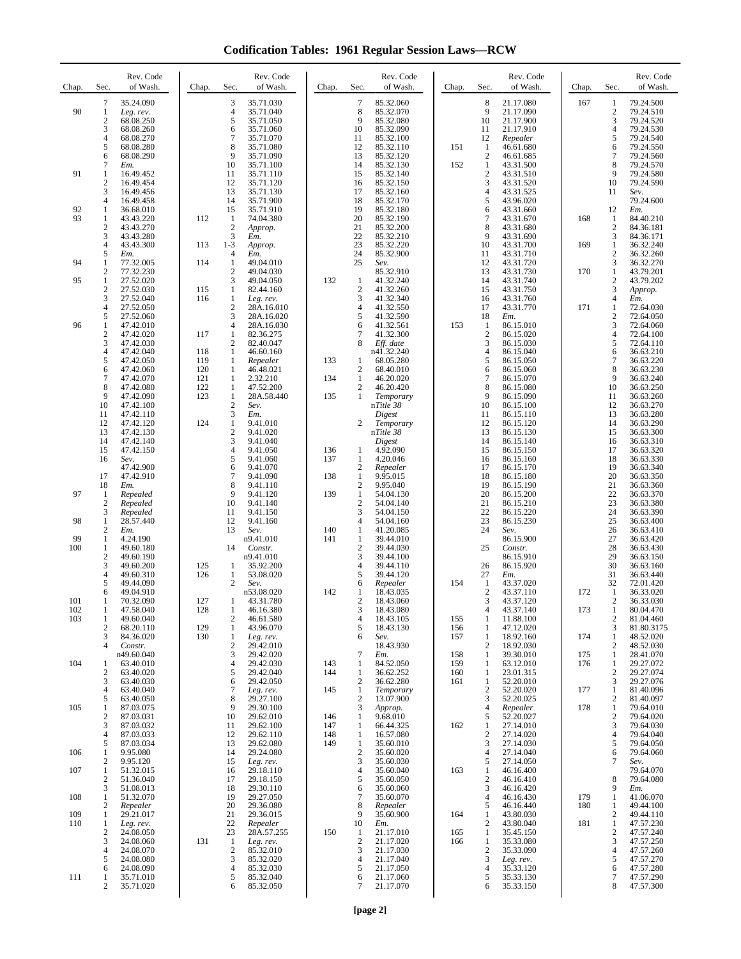**Codification Tables: 1961 Regular Session Laws—RCW**

| Chap.      | Sec.                                  | Rev. Code<br>of Wash.                                         | Chap.             | Rev. Code<br>Sec.<br>of Wash.                                                                       | Chap.      | Sec.                                               | Rev. Code<br>of Wash.                                         | Chap.             | Sec.                                  | Rev. Code<br>of Wash.                                        | Chap.      | Sec.                                             | Rev. Code<br>of Wash.                                         |
|------------|---------------------------------------|---------------------------------------------------------------|-------------------|-----------------------------------------------------------------------------------------------------|------------|----------------------------------------------------|---------------------------------------------------------------|-------------------|---------------------------------------|--------------------------------------------------------------|------------|--------------------------------------------------|---------------------------------------------------------------|
| 90         | 7<br>1<br>$\sqrt{2}$<br>3<br>4        | 35.24.090<br>Leg. rev.<br>68.08.250<br>68.08.260<br>68.08.270 |                   | 3<br>35.71.030<br>4<br>35.71.040<br>5<br>35.71.050<br>6<br>35.71.060<br>$\overline{7}$<br>35.71.070 |            | $\tau$<br>8<br>9<br>10<br>11                       | 85.32.060<br>85.32.070<br>85.32.080<br>85.32.090<br>85.32.100 |                   | 8<br>9<br>10<br>11<br>12              | 21.17.080<br>21.17.090<br>21.17.900<br>21.17.910<br>Repealer | 167        | 1<br>$\sqrt{2}$<br>3<br>$\overline{4}$<br>5      | 79.24.500<br>79.24.510<br>79.24.520<br>79.24.530<br>79.24.540 |
|            | 5<br>6<br>7                           | 68.08.280<br>68.08.290<br>Em.                                 |                   | 8<br>35.71.080<br>9<br>35.71.090<br>10<br>35.71.100                                                 |            | 12<br>13<br>14                                     | 85.32.110<br>85.32.120<br>85.32.130                           | 151<br>152        | 1<br>2<br>$\mathbf{1}$                | 46.61.680<br>46.61.685<br>43.31.500                          |            | 6<br>7<br>8                                      | 79.24.550<br>79.24.560<br>79.24.570                           |
| 91         | 1<br>$\sqrt{2}$<br>3                  | 16.49.452<br>16.49.454<br>16.49.456                           |                   | 11<br>35.71.110<br>12<br>35.71.120<br>13<br>35.71.130                                               |            | 15<br>16<br>17                                     | 85.32.140<br>85.32.150<br>85.32.160                           |                   | $\boldsymbol{2}$<br>3<br>4            | 43.31.510<br>43.31.520<br>43.31.525                          |            | 9<br>10<br>11                                    | 79.24.580<br>79.24.590<br>Sev.                                |
| 92<br>93   | $\overline{4}$<br>1<br>$\mathbf{1}$   | 16.49.458<br>36.68.010<br>43.43.220                           | 112               | 14<br>35.71.900<br>15<br>35.71.910<br>74.04.380<br>1                                                |            | 18<br>19<br>20                                     | 85.32.170<br>85.32.180<br>85.32.190                           |                   | 5<br>6<br>7                           | 43.96.020<br>43.31.660<br>43.31.670                          | 168        | 12<br>$\mathbf{1}$                               | 79.24.600<br>Em.<br>84.40.210                                 |
|            | $\mathfrak{2}$<br>3<br>$\overline{4}$ | 43.43.270<br>43.43.280<br>43.43.300                           | 113               | $\overline{2}$<br>Approp.<br>3<br>Em.<br>$1 - 3$<br>Approp.                                         |            | 21<br>22<br>23                                     | 85.32.200<br>85.32.210<br>85.32.220                           |                   | 8<br>9<br>10                          | 43.31.680<br>43.31.690<br>43.31.700                          | 169        | $\overline{c}$<br>3<br>$\mathbf{1}$              | 84.36.181<br>84.36.171<br>36.32.240                           |
| 94         | 5<br>1                                | Em.<br>77.32.005                                              | 114               | $\overline{4}$<br>Em.<br>$\mathbf{1}$<br>49.04.010                                                  |            | 24<br>25                                           | 85.32.900<br>Sev.                                             |                   | 11<br>12                              | 43.31.710<br>43.31.720                                       |            | $\sqrt{2}$<br>3                                  | 36.32.260<br>36.32.270                                        |
| 95         | 2<br>$\mathbf{1}$<br>$\mathfrak{2}$   | 77.32.230<br>27.52.020<br>27.52.030                           | 115               | $\mathbf{2}$<br>49.04.030<br>3<br>49.04.050<br>$\mathbf{1}$<br>82.44.160                            | 132        | $\mathbf{1}$<br>$\overline{2}$                     | 85.32.910<br>41.32.240<br>41.32.260                           |                   | 13<br>14<br>15                        | 43.31.730<br>43.31.740<br>43.31.750                          | 170        | $\mathbf{1}$<br>$\sqrt{2}$<br>3                  | 43.79.201<br>43.79.202<br>Approp.                             |
|            | 3<br>$\overline{4}$<br>5              | 27.52.040<br>27.52.050<br>27.52.060                           | 116               | $\mathbf{1}$<br>Leg. rev.<br>$\overline{c}$<br>28A.16.010<br>3<br>28A.16.020                        |            | 3<br>$\overline{4}$<br>5                           | 41.32.340<br>41.32.550<br>41.32.590                           |                   | 16<br>17<br>18                        | 43.31.760<br>43.31.770<br>Em.                                | 171        | $\overline{4}$<br>$\mathbf{1}$<br>$\mathfrak{2}$ | Em.<br>72.64.030<br>72.64.050                                 |
| 96         | 1<br>$\boldsymbol{2}$<br>3            | 47.42.010<br>47.42.020<br>47.42.030                           | 117               | $\overline{4}$<br>28A.16.030<br>$\mathbf{1}$<br>82.36.275<br>$\overline{c}$<br>82.40.047            |            | 6<br>$\overline{7}$<br>8                           | 41.32.561<br>41.32.300<br>Eff. date                           | 153               | $\mathbf{1}$<br>$\boldsymbol{2}$<br>3 | 86.15.010<br>86.15.020<br>86.15.030                          |            | 3<br>$\overline{4}$<br>5                         | 72.64.060<br>72.64.100<br>72.64.110                           |
|            | 4<br>5                                | 47.42.040<br>47.42.050                                        | 118<br>119        | 1<br>46.60.160<br>1<br>Repealer                                                                     | 133        | 1                                                  | n41.32.240<br>68.05.280                                       |                   | 4<br>5                                | 86.15.040<br>86.15.050                                       |            | 6<br>$\boldsymbol{7}$                            | 36.63.210<br>36.63.220                                        |
|            | 6<br>7<br>8                           | 47.42.060<br>47.42.070<br>47.42.080                           | 120<br>121<br>122 | 1<br>46.48.021<br>$\mathbf{1}$<br>2.32.210<br>$\mathbf{1}$<br>47.52.200                             | 134        | $\boldsymbol{2}$<br>$\mathbf{1}$<br>$\mathfrak{2}$ | 68.40.010<br>46.20.020<br>46.20.420                           |                   | 6<br>7<br>8                           | 86.15.060<br>86.15.070<br>86.15.080                          |            | 8<br>9<br>10                                     | 36.63.230<br>36.63.240<br>36.63.250                           |
|            | 9<br>10<br>11                         | 47.42.090<br>47.42.100<br>47.42.110                           | 123               | 28A.58.440<br>1<br>$\mathbf{2}$<br>Sev.<br>3<br>Em.                                                 | 135        | 1                                                  | Temporary<br>nTitle 38<br>Digest                              |                   | 9<br>10<br>11                         | 86.15.090<br>86.15.100<br>86.15.110                          |            | 11<br>12<br>13                                   | 36.63.260<br>36.63.270<br>36.63.280                           |
|            | 12<br>13                              | 47.42.120<br>47.42.130                                        | 124               | $\mathbf{1}$<br>9.41.010<br>$\boldsymbol{2}$<br>9.41.020                                            |            | $\overline{2}$                                     | Temporary<br>nTitle 38                                        |                   | 12<br>13                              | 86.15.120<br>86.15.130                                       |            | 14<br>15                                         | 36.63.290<br>36.63.300                                        |
|            | 14<br>15<br>16                        | 47.42.140<br>47.42.150<br>Sev.                                |                   | 3<br>9.41.040<br>4<br>9.41.050<br>5<br>9.41.060                                                     | 136<br>137 | $\mathbf{1}$<br>1                                  | Digest<br>4.92.090<br>4.20.046                                |                   | 14<br>15<br>16                        | 86.15.140<br>86.15.150<br>86.15.160                          |            | 16<br>17<br>18                                   | 36.63.310<br>36.63.320<br>36.63.330                           |
|            | 17<br>18                              | 47.42.900<br>47.42.910<br>Em.                                 |                   | 6<br>9.41.070<br>$\overline{7}$<br>9.41.090<br>8<br>9.41.110                                        | 138        | $\mathfrak{2}$<br>1<br>$\mathfrak{2}$              | Repealer<br>9.95.015<br>9.95.040                              |                   | 17<br>18<br>19                        | 86.15.170<br>86.15.180<br>86.15.190                          |            | 19<br>20<br>21                                   | 36.63.340<br>36.63.350<br>36.63.360                           |
| 97         | 1<br>$\mathfrak{2}$<br>3              | Repealed<br>Repealed<br>Repealed                              |                   | 9<br>9.41.120<br>10<br>9.41.140<br>11<br>9.41.150                                                   | 139        | $\mathbf{1}$<br>$\boldsymbol{2}$<br>3              | 54.04.130<br>54.04.140<br>54.04.150                           |                   | 20<br>21<br>22                        | 86.15.200<br>86.15.210<br>86.15.220                          |            | 22<br>23<br>24                                   | 36.63.370<br>36.63.380<br>36.63.390                           |
| 98         | 1<br>$\mathfrak{2}$                   | 28.57.440<br>Em.                                              |                   | 12<br>9.41.160<br>13<br>Sev.                                                                        | 140        | $\overline{4}$<br>$\mathbf{1}$                     | 54.04.160<br>41.20.085                                        |                   | 23<br>24                              | 86.15.230<br>Sev.                                            |            | 25<br>26                                         | 36.63.400<br>36.63.410                                        |
| 99<br>100  | 1<br>1<br>$\mathfrak{2}$              | 4.24.190<br>49.60.180<br>49.60.190                            |                   | n9.41.010<br>14<br>Constr.<br>n9.41.010                                                             | 141        | 1<br>$\sqrt{2}$<br>3                               | 39.44.010<br>39.44.030<br>39.44.100                           |                   | 25                                    | 86.15.900<br>Constr.<br>86.15.910                            |            | 27<br>28<br>29                                   | 36.63.420<br>36.63.430<br>36.63.150                           |
|            | 3<br>4<br>5                           | 49.60.200<br>49.60.310<br>49.44.090                           | 125<br>126        | 35.92.200<br>1<br>1<br>53.08.020<br>$\overline{2}$<br>Sev.                                          |            | $\overline{4}$<br>5<br>6                           | 39.44.110<br>39.44.120<br>Repealer                            | 154               | 26<br>27<br>-1                        | 86.15.920<br>Em.<br>43.37.020                                |            | 30<br>31<br>32                                   | 36.63.160<br>36.63.440<br>72.01.420                           |
| 101        | 6<br>1                                | 49.04.910<br>70.32.090                                        | 127               | n53.08.020<br>1<br>43.31.780                                                                        | 142        | 1<br>$\mathfrak{2}$                                | 18.43.035<br>18.43.060                                        |                   | $\mathbf{2}$<br>3                     | 43.37.110<br>43.37.120                                       | 172        | 1<br>$\mathfrak{2}$                              | 36.33.020<br>36.33.030                                        |
| 102<br>103 | 1<br>1<br>$\mathfrak{2}$              | 47.58.040<br>49.60.040<br>68.20.110                           | 128<br>129        | 1<br>46.16.380<br>$\overline{c}$<br>46.61.580<br>43.96.070<br>$\mathbf{1}$                          |            | 3<br>4<br>5                                        | 18.43.080<br>18.43.105<br>18.43.130                           | 155<br>156        | 4<br>1<br>1                           | 43.37.140<br>11.88.100<br>47.12.020                          | 173        | 1<br>$\boldsymbol{2}$<br>$\mathfrak{Z}$          | 80.04.470<br>81.04.460<br>81.80.3175                          |
|            | 3<br>$\overline{4}$                   | 84.36.020<br>Constr.<br>n49.60.040                            | 130               | $\mathbf{1}$<br>Leg. rev.<br>$\mathbf{2}$<br>29.42.010<br>3<br>29.42.020                            |            | 6<br>$\tau$                                        | Sev.<br>18.43.930<br>Em.                                      | 157<br>158        | 1<br>$\overline{c}$<br>1              | 18.92.160<br>18.92.030<br>39.30.010                          | 174<br>175 | $\mathbf{1}$<br>$\mathbf{2}$<br>1                | 48.52.020<br>48.52.030<br>28.41.070                           |
| 104        | 1<br>$\mathfrak{2}$<br>3              | 63.40.010<br>63.40.020<br>63.40.030                           |                   | $\overline{4}$<br>29.42.030<br>5<br>29.42.040<br>29.42.050<br>6                                     | 143<br>144 | 1<br>1<br>$\mathfrak{2}$                           | 84.52.050<br>36.62.252<br>36.62.280                           | 159<br>160<br>161 | 1<br>1<br>1                           | 63.12.010<br>23.01.315<br>52.20.010                          | 176        | $\mathbf{1}$<br>$\boldsymbol{2}$<br>3            | 29.27.072<br>29.27.074<br>29.27.076                           |
| 105        | 4<br>5<br>1                           | 63.40.040<br>63.40.050<br>87.03.075                           |                   | $\tau$<br>Leg. rev.<br>8<br>29.27.100<br>9<br>29.30.100                                             | 145        | $\mathbf{1}$<br>$\overline{2}$<br>3                | Temporary<br>13.07.900                                        |                   | $\overline{c}$<br>3<br>4              | 52.20.020<br>52.20.025                                       | 177<br>178 | $\mathbf{1}$<br>$\boldsymbol{2}$<br>$\mathbf{1}$ | 81.40.096<br>81.40.097<br>79.64.010                           |
|            | $\boldsymbol{2}$<br>3                 | 87.03.031<br>87.03.032                                        |                   | 10<br>29.62.010<br>29.62.100<br>11                                                                  | 146<br>147 | $\mathbf{1}$<br>1                                  | Approp.<br>9.68.010<br>66.44.325                              | 162               | 5<br>1                                | Repealer<br>52.20.027<br>27.14.010                           |            | $\sqrt{2}$<br>3                                  | 79.64.020<br>79.64.030                                        |
| 106        | $\overline{4}$<br>5<br>1              | 87.03.033<br>87.03.034<br>9.95.080                            |                   | 29.62.110<br>12<br>13<br>29.62.080<br>29.24.080<br>14                                               | 148<br>149 | 1<br>$\mathbf{1}$<br>$\overline{2}$                | 16.57.080<br>35.60.010<br>35.60.020                           |                   | $\overline{c}$<br>3<br>4              | 27.14.020<br>27.14.030<br>27.14.040                          |            | $\overline{4}$<br>5<br>6                         | 79.64.040<br>79.64.050<br>79.64.060                           |
| 107        | 2<br>1<br>$\mathfrak{2}$              | 9.95.120<br>51.32.015<br>51.36.040                            |                   | 15<br>Leg. rev.<br>29.18.110<br>16<br>17<br>29.18.150                                               |            | 3<br>$\overline{4}$<br>5                           | 35.60.030<br>35.60.040<br>35.60.050                           | 163               | 5<br>1<br>$\overline{c}$              | 27.14.050<br>46.16.400<br>46.16.410                          |            | 7<br>8                                           | Sev.<br>79.64.070<br>79.64.080                                |
| 108        | 3<br>1                                | 51.08.013<br>51.32.070                                        |                   | 29.30.110<br>18<br>19<br>29.27.050                                                                  |            | 6<br>$\boldsymbol{7}$                              | 35.60.060<br>35.60.070                                        |                   | 3<br>4                                | 46.16.420<br>46.16.430                                       | 179        | 9<br>$\mathbf{1}$                                | Em.<br>41.06.070                                              |
| 109<br>110 | 2<br>1<br>1                           | Repealer<br>29.21.017<br>Leg. rev.                            |                   | 20<br>29.36.080<br>21<br>29.36.015<br>22<br>Repealer                                                |            | 8<br>9<br>10                                       | Repealer<br>35.60.900<br>Em.                                  | 164               | 5<br>1<br>2                           | 46.16.440<br>43.80.030<br>43.80.040                          | 180<br>181 | 1<br>$\boldsymbol{2}$<br>$\mathbf{1}$            | 49.44.100<br>49.44.110<br>47.57.230                           |
|            | $\mathfrak{2}$<br>3<br>4              | 24.08.050<br>24.08.060<br>24.08.070                           | 131               | 28A.57.255<br>23<br>$\mathbf{1}$<br>Leg. rev.<br>85.32.010<br>$\boldsymbol{2}$                      | 150        | 1<br>$\boldsymbol{2}$<br>3                         | 21.17.010<br>21.17.020<br>21.17.030                           | 165<br>166        | 1<br>1<br>$\mathbf{2}$                | 35.45.150<br>35.33.080<br>35.33.090                          |            | $\sqrt{2}$<br>3<br>$\overline{4}$                | 47.57.240<br>47.57.250<br>47.57.260                           |
|            | 5<br>6                                | 24.08.080<br>24.08.090                                        |                   | 3<br>85.32.020<br>85.32.030<br>4                                                                    |            | $\overline{4}$<br>5                                | 21.17.040<br>21.17.050                                        |                   | 3<br>4                                | Leg. rev.<br>35.33.120                                       |            | 5<br>6                                           | 47.57.270<br>47.57.280                                        |
| 111        | -1<br>2                               | 35.71.010<br>35.71.020                                        |                   | 5<br>85.32.040<br>85.32.050<br>6                                                                    |            | 6<br>$\tau$                                        | 21.17.060<br>21.17.070                                        |                   | 5<br>6                                | 35.33.130<br>35.33.150                                       |            | 7<br>8                                           | 47.57.290<br>47.57.300                                        |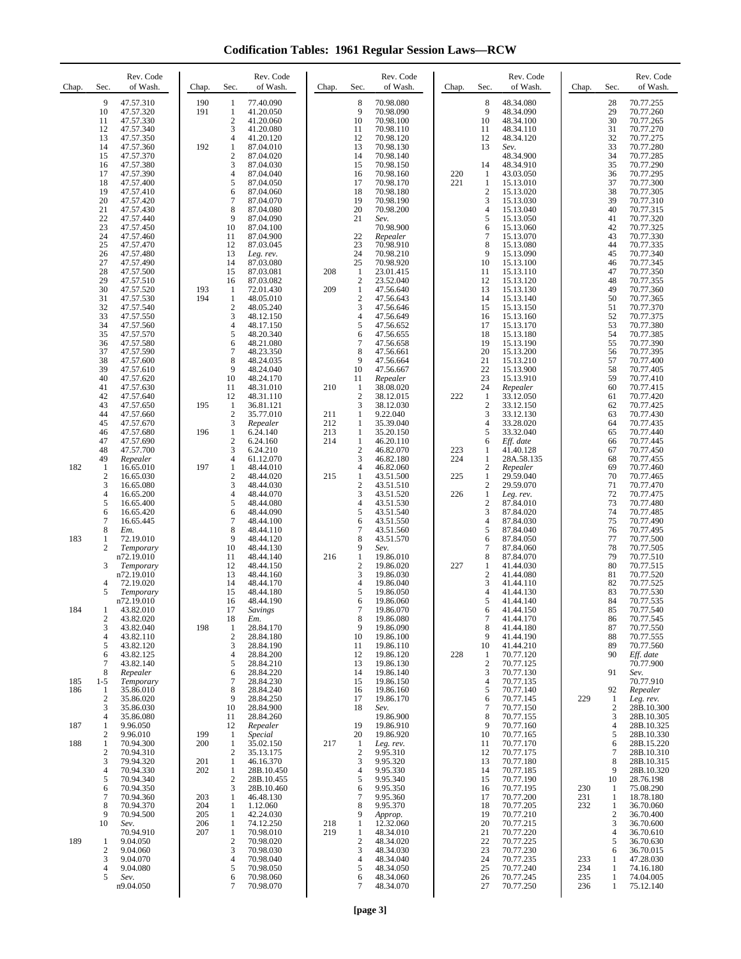**Codification Tables: 1961 Regular Session Laws—RCW**

| Chap.      | Sec.                                                                 | Rev. Code<br>of Wash.                                                                                                                       | Chap.                    | Sec.                                                                                                        | Rev. Code<br>of Wash.                                                                                                                       | Chap.             | Sec.                                                                                      | Rev. Code<br>of Wash.                                                                                                                       | Chap.      | Sec.                                                                                    | Rev. Code<br>of Wash.                                                                                                                       | Chap.                    | Sec.                                                                | Rev. Code<br>of Wash.                                                                                                                       |
|------------|----------------------------------------------------------------------|---------------------------------------------------------------------------------------------------------------------------------------------|--------------------------|-------------------------------------------------------------------------------------------------------------|---------------------------------------------------------------------------------------------------------------------------------------------|-------------------|-------------------------------------------------------------------------------------------|---------------------------------------------------------------------------------------------------------------------------------------------|------------|-----------------------------------------------------------------------------------------|---------------------------------------------------------------------------------------------------------------------------------------------|--------------------------|---------------------------------------------------------------------|---------------------------------------------------------------------------------------------------------------------------------------------|
|            | 9<br>10<br>11<br>12<br>13<br>14<br>15<br>16<br>17<br>18              | 47.57.310<br>47.57.320<br>47.57.330<br>47.57.340<br>47.57.350<br>47.57.360<br>47.57.370<br>47.57.380<br>47.57.390<br>47.57.400              | 190<br>191<br>192        | 1<br>$\mathbf{1}$<br>$\overline{2}$<br>3<br>$\overline{4}$<br>$\mathbf{1}$<br>2<br>3<br>$\overline{4}$<br>5 | 77.40.090<br>41.20.050<br>41.20.060<br>41.20.080<br>41.20.120<br>87.04.010<br>87.04.020<br>87.04.030<br>87.04.040<br>87.04.050              |                   | 8<br>9<br>10<br>11<br>12<br>13<br>14<br>15<br>16<br>17                                    | 70.98.080<br>70.98.090<br>70.98.100<br>70.98.110<br>70.98.120<br>70.98.130<br>70.98.140<br>70.98.150<br>70.98.160<br>70.98.170              | 220<br>221 | 8<br>9<br>10<br>11<br>12<br>13<br>14<br>-1<br>1                                         | 48.34.080<br>48.34.090<br>48.34.100<br>48.34.110<br>48.34.120<br>Sev.<br>48.34.900<br>48.34.910<br>43.03.050<br>15.13.010                   |                          | 28<br>29<br>30<br>31<br>32<br>33<br>34<br>35<br>36<br>37            | 70.77.255<br>70.77.260<br>70.77.265<br>70.77.270<br>70.77.275<br>70.77.280<br>70.77.285<br>70.77.290<br>70.77.295<br>70.77.300              |
|            | 19<br>20<br>21<br>22<br>23<br>24<br>25<br>26<br>27<br>28             | 47.57.410<br>47.57.420<br>47.57.430<br>47.57.440<br>47.57.450<br>47.57.460<br>47.57.470<br>47.57.480<br>47.57.490<br>47.57.500              |                          | 6<br>7<br>8<br>9<br>10<br>11<br>12<br>13<br>14<br>15                                                        | 87.04.060<br>87.04.070<br>87.04.080<br>87.04.090<br>87.04.100<br>87.04.900<br>87.03.045<br>Leg. rev.<br>87.03.080<br>87.03.081              | 208               | 18<br>19<br>20<br>21<br>22<br>23<br>24<br>25<br>-1                                        | 70.98.180<br>70.98.190<br>70.98.200<br>Sev.<br>70.98.900<br>Repealer<br>70.98.910<br>70.98.210<br>70.98.920<br>23.01.415                    |            | $\overline{2}$<br>3<br>$\overline{4}$<br>5<br>6<br>$\overline{7}$<br>8<br>9<br>10<br>11 | 15.13.020<br>15.13.030<br>15.13.040<br>15.13.050<br>15.13.060<br>15.13.070<br>15.13.080<br>15.13.090<br>15.13.100<br>15.13.110              |                          | 38<br>39<br>40<br>41<br>42<br>43<br>44<br>45<br>46<br>47            | 70.77.305<br>70.77.310<br>70.77.315<br>70.77.320<br>70.77.325<br>70.77.330<br>70.77.335<br>70.77.340<br>70.77.345<br>70.77.350              |
|            | 29<br>30<br>31<br>32<br>33<br>34<br>35<br>36<br>37<br>38<br>39       | 47.57.510<br>47.57.520<br>47.57.530<br>47.57.540<br>47.57.550<br>47.57.560<br>47.57.570<br>47.57.580<br>47.57.590<br>47.57.600<br>47.57.610 | 193<br>194               | 16<br>1<br>$\mathbf{1}$<br>$\overline{c}$<br>3<br>$\overline{4}$<br>5<br>6<br>7<br>8<br>9                   | 87.03.082<br>72.01.430<br>48.05.010<br>48.05.240<br>48.12.150<br>48.17.150<br>48.20.340<br>48.21.080<br>48.23.350<br>48.24.035<br>48.24.040 | 209               | $\overline{2}$<br>$\mathbf{1}$<br>$\overline{c}$<br>3<br>4<br>5<br>6<br>7<br>8<br>9<br>10 | 23.52.040<br>47.56.640<br>47.56.643<br>47.56.646<br>47.56.649<br>47.56.652<br>47.56.655<br>47.56.658<br>47.56.661<br>47.56.664<br>47.56.667 |            | 12<br>13<br>14<br>15<br>16<br>17<br>18<br>19<br>20<br>21<br>22                          | 15.13.120<br>15.13.130<br>15.13.140<br>15.13.150<br>15.13.160<br>15.13.170<br>15.13.180<br>15.13.190<br>15.13.200<br>15.13.210<br>15.13.900 |                          | 48<br>49<br>50<br>51<br>52<br>53<br>54<br>55<br>56<br>57<br>58      | 70.77.355<br>70.77.360<br>70.77.365<br>70.77.370<br>70.77.375<br>70.77.380<br>70.77.385<br>70.77.390<br>70.77.395<br>70.77.400<br>70.77.405 |
|            | 40<br>41<br>42<br>43<br>44                                           | 47.57.620<br>47.57.630<br>47.57.640<br>47.57.650<br>47.57.660                                                                               | 195                      | 10<br>11<br>12<br>1<br>$\overline{2}$                                                                       | 48.24.170<br>48.31.010<br>48.31.110<br>36.81.121<br>35.77.010                                                                               | 210<br>211        | 11<br>-1<br>$\overline{2}$<br>3<br>1                                                      | Repealer<br>38.08.020<br>38.12.015<br>38.12.030<br>9.22.040                                                                                 | 222        | 23<br>24<br>1<br>$\overline{2}$<br>3                                                    | 15.13.910<br>Repealer<br>33.12.050<br>33.12.150<br>33.12.130                                                                                |                          | 59<br>60<br>61<br>62<br>63                                          | 70.77.410<br>70.77.415<br>70.77.420<br>70.77.425<br>70.77.430                                                                               |
|            | 45<br>46<br>47<br>48                                                 | 47.57.670<br>47.57.680<br>47.57.690<br>47.57.700                                                                                            | 196                      | 3<br>$\mathbf{1}$<br>$\overline{c}$<br>3<br>$\overline{4}$                                                  | Repealer<br>6.24.140<br>6.24.160<br>6.24.210                                                                                                | 212<br>213<br>214 | 1<br>1<br>1<br>$\overline{2}$<br>3                                                        | 35.39.040<br>35.20.150<br>46.20.110<br>46.82.070                                                                                            | 223<br>224 | $\overline{4}$<br>5<br>6<br>1<br>1                                                      | 33.28.020<br>33.32.040<br>Eff. date<br>41.40.128                                                                                            |                          | 64<br>65<br>66<br>67                                                | 70.77.435<br>70.77.440<br>70.77.445<br>70.77.450                                                                                            |
| 182        | 49<br>1<br>$\mathfrak{2}$<br>3<br>4<br>5<br>6<br>$\overline{7}$<br>8 | Repealer<br>16.65.010<br>16.65.030<br>16.65.080<br>16.65.200<br>16.65.400<br>16.65.420<br>16.65.445                                         | 197                      | $\mathbf{1}$<br>$\overline{c}$<br>3<br>$\overline{4}$<br>5<br>6<br>7<br>8                                   | 61.12.070<br>48.44.010<br>48.44.020<br>48.44.030<br>48.44.070<br>48.44.080<br>48.44.090<br>48.44.100<br>48.44.110                           | 215               | 4<br>$\mathbf{1}$<br>$\overline{2}$<br>3<br>$\overline{4}$<br>5<br>6<br>7                 | 46.82.180<br>46.82.060<br>43.51.500<br>43.51.510<br>43.51.520<br>43.51.530<br>43.51.540<br>43.51.550                                        | 225<br>226 | 2<br>1<br>$\overline{2}$<br>1<br>$\overline{2}$<br>3<br>$\overline{4}$<br>5             | 28A.58.135<br>Repealer<br>29.59.040<br>29.59.070<br>Leg. rev.<br>87.84.010<br>87.84.020<br>87.84.030                                        |                          | 68<br>69<br>70<br>71<br>72<br>73<br>74<br>75<br>76                  | 70.77.455<br>70.77.460<br>70.77.465<br>70.77.470<br>70.77.475<br>70.77.480<br>70.77.485<br>70.77.490                                        |
| 183        | 1<br>$\overline{c}$<br>3<br>4<br>5                                   | Em.<br>72.19.010<br>Temporary<br>n72.19.010<br>Temporary<br>n72.19.010<br>72.19.020<br>Temporary                                            |                          | 9<br>10<br>11<br>12<br>13<br>14<br>15                                                                       | 48.44.120<br>48.44.130<br>48.44.140<br>48.44.150<br>48.44.160<br>48.44.170<br>48.44.180                                                     | 216               | 8<br>9<br>1<br>$\overline{2}$<br>3<br>$\overline{4}$<br>5                                 | 43.51.560<br>43.51.570<br>Sev.<br>19.86.010<br>19.86.020<br>19.86.030<br>19.86.040<br>19.86.050                                             | 227        | 6<br>$\overline{7}$<br>8<br>1<br>$\overline{2}$<br>3<br>$\overline{4}$                  | 87.84.040<br>87.84.050<br>87.84.060<br>87.84.070<br>41.44.030<br>41.44.080<br>41.44.110<br>41.44.130                                        |                          | 77<br>78<br>79<br>80<br>81<br>82<br>83                              | 70.77.495<br>70.77.500<br>70.77.505<br>70.77.510<br>70.77.515<br>70.77.520<br>70.77.525<br>70.77.530                                        |
| 184        | $\boldsymbol{2}$<br>3<br>$\overline{4}$<br>5<br>6<br>$\tau$          | n72.19.010<br>43.82.010<br>43.82.020<br>43.82.040<br>43.82.110<br>43.82.120<br>43.82.125<br>43.82.140                                       | 198                      | 16<br>17<br>18<br>$\mathbf{1}$<br>$\overline{c}$<br>3<br>4<br>5                                             | 48.44.190<br>Savings<br>Em.<br>28.84.170<br>28.84.180<br>28.84.190<br>28.84.200<br>28.84.210                                                |                   | 6<br>7<br>8<br>9<br>10<br>11<br>12<br>13                                                  | 19.86.060<br>19.86.070<br>19.86.080<br>19.86.090<br>19.86.100<br>19.86.110<br>19.86.120<br>19.86.130                                        | 228        | 5<br>6<br>$\tau$<br>8<br>9<br>10<br>1<br>$\overline{2}$                                 | 41.44.140<br>41.44.150<br>41.44.170<br>41.44.180<br>41.44.190<br>41.44.210<br>70.77.120<br>70.77.125                                        |                          | 84<br>85<br>86<br>87<br>88<br>89<br>90                              | 70.77.535<br>70.77.540<br>70.77.545<br>70.77.550<br>70.77.555<br>70.77.560<br>Eff. date<br>70.77.900                                        |
| 185<br>186 | 8<br>$1 - 5$<br>1<br>$\mathfrak{2}$<br>3                             | Repealer<br>Temporary<br>35.86.010<br>35.86.020<br>35.86.030                                                                                |                          | 6<br>7<br>8<br>9<br>10                                                                                      | 28.84.220<br>28.84.230<br>28.84.240<br>28.84.250<br>28.84.900                                                                               |                   | 14<br>15<br>16<br>17<br>18                                                                | 19.86.140<br>19.86.150<br>19.86.160<br>19.86.170<br>Sev.                                                                                    |            | 3<br>$\overline{4}$<br>5<br>6<br>$\tau$                                                 | 70.77.130<br>70.77.135<br>70.77.140<br>70.77.145<br>70.77.150                                                                               | 229                      | 91<br>92<br>1<br>$\overline{c}$                                     | Sev.<br>70.77.910<br>Repealer<br>Leg. rev.<br>28B.10.300                                                                                    |
| 187<br>188 | 4<br>1<br>$\mathfrak{2}$<br>1                                        | 35.86.080<br>9.96.050<br>9.96.010<br>70.94.300                                                                                              | 199<br>200               | 11<br>12<br>$\mathbf{1}$<br>$\mathbf{1}$                                                                    | 28.84.260<br>Repealer<br>Special<br>35.02.150                                                                                               | 217               | 19<br>20<br>-1                                                                            | 19.86.900<br>19.86.910<br>19.86.920<br>Leg. rev.                                                                                            |            | 8<br>9<br>10<br>11                                                                      | 70.77.155<br>70.77.160<br>70.77.165<br>70.77.170                                                                                            |                          | 3<br>$\overline{4}$<br>5<br>6                                       | 28B.10.305<br>28B.10.325<br>28B.10.330<br>28B.15.220                                                                                        |
|            | $\overline{2}$<br>3<br>$\overline{4}$<br>5<br>6<br>$\tau$<br>8       | 70.94.310<br>79.94.320<br>70.94.330<br>70.94.340<br>70.94.350<br>70.94.360<br>70.94.370                                                     | 201<br>202<br>203<br>204 | $\overline{c}$<br>$\mathbf{1}$<br>1<br>$\overline{c}$<br>3<br>$\mathbf{1}$<br>1                             | 35.13.175<br>46.16.370<br>28B.10.450<br>28B.10.455<br>28B.10.460<br>46.48.130<br>1.12.060                                                   |                   | $\overline{2}$<br>3<br>$\overline{4}$<br>5<br>6<br>7<br>8                                 | 9.95.310<br>9.95.320<br>9.95.330<br>9.95.340<br>9.95.350<br>9.95.360<br>9.95.370                                                            |            | 12<br>13<br>14<br>15<br>16<br>17<br>18                                                  | 70.77.175<br>70.77.180<br>70.77.185<br>70.77.190<br>70.77.195<br>70.77.200<br>70.77.205                                                     | 230<br>231<br>232        | 7<br>8<br>9<br>10<br>1<br>1<br>1                                    | 28B.10.310<br>28B.10.315<br>28B.10.320<br>28.76.198<br>75.08.290<br>18.78.180<br>36.70.060                                                  |
| 189        | 9<br>10<br>1<br>$\overline{2}$<br>3<br>4<br>5                        | 70.94.500<br>Sev.<br>70.94.910<br>9.04.050<br>9.04.060<br>9.04.070<br>9.04.080<br>Sev.<br>n9.04.050                                         | 205<br>206<br>207        | 1<br>1<br>1<br>$\overline{c}$<br>3<br>$\overline{4}$<br>5<br>6<br>7                                         | 42.24.030<br>74.12.250<br>70.98.010<br>70.98.020<br>70.98.030<br>70.98.040<br>70.98.050<br>70.98.060<br>70.98.070                           | 218<br>219        | 9<br>1<br>$\mathbf{1}$<br>$\overline{2}$<br>3<br>$\overline{4}$<br>5<br>6<br>7            | Approp.<br>12.32.060<br>48.34.010<br>48.34.020<br>48.34.030<br>48.34.040<br>48.34.050<br>48.34.060<br>48.34.070                             |            | 19<br>20<br>21<br>22<br>23<br>24<br>25<br>26<br>27                                      | 70.77.210<br>70.77.215<br>70.77.220<br>70.77.225<br>70.77.230<br>70.77.235<br>70.77.240<br>70.77.245<br>70.77.250                           | 233<br>234<br>235<br>236 | $\overline{c}$<br>3<br>$\overline{4}$<br>5<br>6<br>1<br>1<br>1<br>1 | 36.70.400<br>36.70.600<br>36.70.610<br>36.70.630<br>36.70.015<br>47.28.030<br>74.16.180<br>74.04.005<br>75.12.140                           |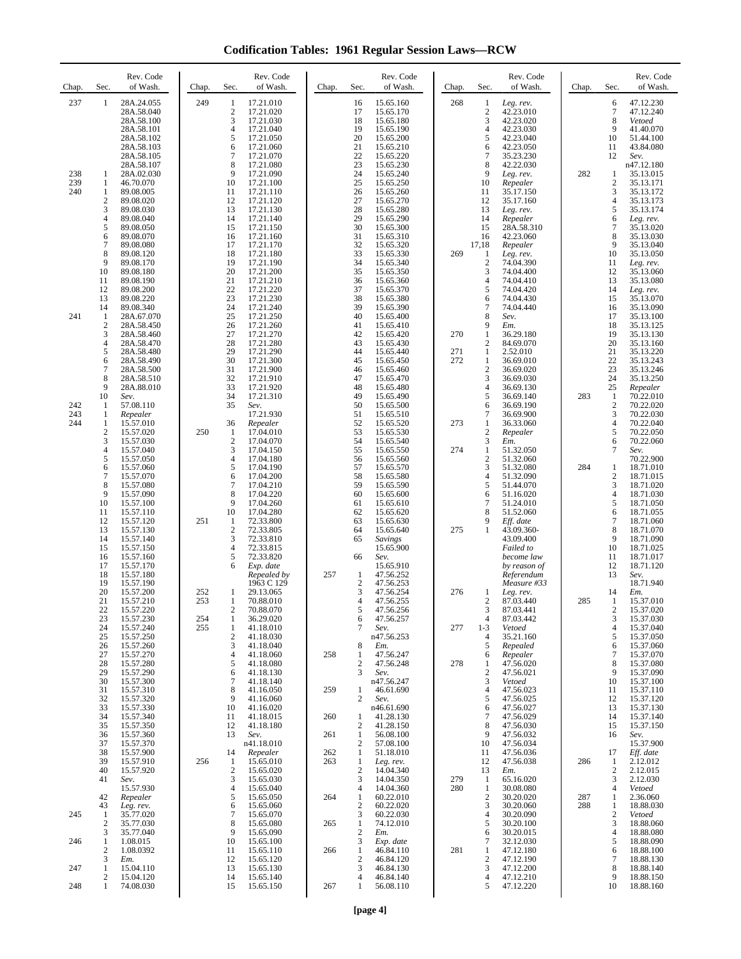**Codification Tables: 1961 Regular Session Laws—RCW**

| Chap.             | Sec.                                                                 | Rev. Code<br>of Wash.                                                                                                                                            | Chap.                    | Sec.                                                                                                                | Rev. Code<br>of Wash.                                                                                                                                    | Chap.                    | Sec.                                                                                                                              | Rev. Code<br>of Wash.                                                                                                                                    | Chap.             | Sec.                                                                                     | Rev. Code<br>of Wash.                                                                                                                                  | Chap.             | Sec.                                                                                               | Rev. Code<br>of Wash.                                                                                                                                    |
|-------------------|----------------------------------------------------------------------|------------------------------------------------------------------------------------------------------------------------------------------------------------------|--------------------------|---------------------------------------------------------------------------------------------------------------------|----------------------------------------------------------------------------------------------------------------------------------------------------------|--------------------------|-----------------------------------------------------------------------------------------------------------------------------------|----------------------------------------------------------------------------------------------------------------------------------------------------------|-------------------|------------------------------------------------------------------------------------------|--------------------------------------------------------------------------------------------------------------------------------------------------------|-------------------|----------------------------------------------------------------------------------------------------|----------------------------------------------------------------------------------------------------------------------------------------------------------|
| 237               | 1                                                                    | 28A.24.055<br>28A.58.040<br>28A.58.100<br>28A.58.101<br>28A.58.102<br>28A.58.103<br>28A.58.105<br>28A.58.107                                                     | 249                      | 1<br>$\overline{2}$<br>3<br>$\overline{4}$<br>5<br>6<br>$\tau$<br>8                                                 | 17.21.010<br>17.21.020<br>17.21.030<br>17.21.040<br>17.21.050<br>17.21.060<br>17.21.070<br>17.21.080                                                     |                          | 16<br>17<br>18<br>19<br>20<br>21<br>22<br>23                                                                                      | 15.65.160<br>15.65.170<br>15.65.180<br>15.65.190<br>15.65.200<br>15.65.210<br>15.65.220<br>15.65.230                                                     | 268               | $\mathbf{1}$<br>$\overline{2}$<br>3<br>4<br>5<br>6<br>$7\phantom{.0}$<br>8               | Leg. rev.<br>42.23.010<br>42.23.020<br>42.23.030<br>42.23.040<br>42.23.050<br>35.23.230<br>42.22.030                                                   |                   | 6<br>$\tau$<br>8<br>9<br>10<br>11<br>12                                                            | 47.12.230<br>47.12.240<br>Vetoed<br>41.40.070<br>51.44.100<br>43.84.080<br>Sev.<br>n47.12.180                                                            |
| 238<br>239<br>240 | 1<br>1<br>1<br>$\mathbf{2}$<br>3<br>4<br>5<br>6<br>7<br>8<br>9<br>10 | 28A.02.030<br>46.70.070<br>89.08.005<br>89.08.020<br>89.08.030<br>89.08.040<br>89.08.050<br>89.08.070<br>89.08.080<br>89.08.120<br>89.08.170<br>89.08.180        |                          | 9<br>10<br>11<br>12<br>13<br>14<br>15<br>16<br>17<br>18<br>19<br>20                                                 | 17.21.090<br>17.21.100<br>17.21.110<br>17.21.120<br>17.21.130<br>17.21.140<br>17.21.150<br>17.21.160<br>17.21.170<br>17.21.180<br>17.21.190<br>17.21.200 |                          | 24<br>25<br>26<br>27<br>28<br>29<br>30<br>31<br>32<br>33<br>34<br>35                                                              | 15.65.240<br>15.65.250<br>15.65.260<br>15.65.270<br>15.65.280<br>15.65.290<br>15.65.300<br>15.65.310<br>15.65.320<br>15.65.330<br>15.65.340<br>15.65.350 | 269               | 9<br>10<br>11<br>12<br>13<br>14<br>15<br>16<br>17,18<br>-1<br>$\overline{c}$<br>3        | Leg. rev.<br>Repealer<br>35.17.150<br>35.17.160<br>Leg. rev.<br>Repealer<br>28A.58.310<br>42.23.060<br>Repealer<br>Leg. rev.<br>74.04.390<br>74.04.400 | 282               | 1<br>$\overline{c}$<br>3<br>$\overline{4}$<br>5<br>6<br>$\tau$<br>8<br>9<br>10<br>11<br>12         | 35.13.015<br>35.13.171<br>35.13.172<br>35.13.173<br>35.13.174<br>Leg. rev.<br>35.13.020<br>35.13.030<br>35.13.040<br>35.13.050<br>Leg. rev.<br>35.13.060 |
| 241               | 11<br>12<br>13<br>14<br>1<br>2<br>3<br>4<br>5<br>6<br>7<br>8         | 89.08.190<br>89.08.200<br>89.08.220<br>89.08.340<br>28A.67.070<br>28A.58.450<br>28A.58.460<br>28A.58.470<br>28A.58.480<br>28A.58.490<br>28A.58.500<br>28A.58.510 |                          | 21<br>22<br>23<br>24<br>25<br>26<br>27<br>28<br>29<br>30<br>31<br>32                                                | 17.21.210<br>17.21.220<br>17.21.230<br>17.21.240<br>17.21.250<br>17.21.260<br>17.21.270<br>17.21.280<br>17.21.290<br>17.21.300<br>17.21.900<br>17.21.910 |                          | 36<br>37<br>38<br>39<br>40<br>41<br>42<br>43<br>44<br>45<br>46<br>47                                                              | 15.65.360<br>15.65.370<br>15.65.380<br>15.65.390<br>15.65.400<br>15.65.410<br>15.65.420<br>15.65.430<br>15.65.440<br>15.65.450<br>15.65.460<br>15.65.470 | 270<br>271<br>272 | 4<br>5<br>6<br>7<br>8<br>9<br>1<br>$\overline{2}$<br>1<br>-1<br>$\overline{2}$<br>3      | 74.04.410<br>74.04.420<br>74.04.430<br>74.04.440<br>Sev.<br>Em.<br>36.29.180<br>84.69.070<br>2.52.010<br>36.69.010<br>36.69.020<br>36.69.030           |                   | 13<br>14<br>15<br>16<br>17<br>18<br>19<br>20<br>21<br>22<br>23<br>24                               | 35.13.080<br>Leg. rev.<br>35.13.070<br>35.13.090<br>35.13.100<br>35.13.125<br>35.13.130<br>35.13.160<br>35.13.220<br>35.13.243<br>35.13.246<br>35.13.250 |
| 242<br>243<br>244 | 9<br>10<br>1<br>1<br>1<br>$\mathbf{2}$<br>3                          | 28A.88.010<br>Sev.<br>57.08.110<br>Repealer<br>15.57.010<br>15.57.020<br>15.57.030                                                                               | 250                      | 33<br>34<br>35<br>36<br>1<br>$\overline{2}$                                                                         | 17.21.920<br>17.21.310<br>Sev.<br>17.21.930<br>Repealer<br>17.04.010<br>17.04.070                                                                        |                          | 48<br>49<br>50<br>51<br>52<br>53<br>54                                                                                            | 15.65.480<br>15.65.490<br>15.65.500<br>15.65.510<br>15.65.520<br>15.65.530<br>15.65.540                                                                  | 273               | 4<br>5<br>6<br>$\overline{7}$<br>1<br>$\overline{2}$<br>3                                | 36.69.130<br>36.69.140<br>36.69.190<br>36.69.900<br>36.33.060<br>Repealer<br>Em.                                                                       | 283               | 25<br>1<br>$\boldsymbol{2}$<br>3<br>4<br>5<br>6                                                    | Repealer<br>70.22.010<br>70.22.020<br>70.22.030<br>70.22.040<br>70.22.050<br>70.22.060                                                                   |
|                   | 4<br>5<br>6<br>7<br>8<br>9<br>10<br>11<br>12<br>13<br>14             | 15.57.040<br>15.57.050<br>15.57.060<br>15.57.070<br>15.57.080<br>15.57.090<br>15.57.100<br>15.57.110<br>15.57.120<br>15.57.130<br>15.57.140                      | 251                      | 3<br>$\overline{4}$<br>5<br>6<br>$\tau$<br>8<br>9<br>10<br>1<br>$\overline{2}$<br>3                                 | 17.04.150<br>17.04.180<br>17.04.190<br>17.04.200<br>17.04.210<br>17.04.220<br>17.04.260<br>17.04.280<br>72.33.800<br>72.33.805<br>72.33.810              |                          | 55<br>56<br>57<br>58<br>59<br>60<br>61<br>62<br>63<br>64<br>65                                                                    | 15.65.550<br>15.65.560<br>15.65.570<br>15.65.580<br>15.65.590<br>15.65.600<br>15.65.610<br>15.65.620<br>15.65.630<br>15.65.640<br>Savings                | 274<br>275        | 1<br>$\overline{c}$<br>3<br>4<br>5<br>6<br>7<br>8<br>9<br>1                              | 51.32.050<br>51.32.060<br>51.32.080<br>51.32.090<br>51.44.070<br>51.16.020<br>51.24.010<br>51.52.060<br>Eff. date<br>43.09.360-<br>43.09.400           | 284               | $\overline{7}$<br>1<br>$\overline{c}$<br>3<br>$\overline{4}$<br>5<br>6<br>$\overline{7}$<br>8<br>9 | Sev.<br>70.22.900<br>18.71.010<br>18.71.015<br>18.71.020<br>18.71.030<br>18.71.050<br>18.71.055<br>18.71.060<br>18.71.070<br>18.71.090                   |
|                   | 15<br>16<br>17<br>18<br>19<br>20<br>21<br>22<br>23<br>24<br>25       | 15.57.150<br>15.57.160<br>15.57.170<br>15.57.180<br>15.57.190<br>15.57.200<br>15.57.210<br>15.57.220<br>15.57.230<br>15.57.240<br>15.57.250                      | 252<br>253<br>254<br>255 | $\overline{4}$<br>5<br>6<br>1<br>$\mathbf{1}$<br>$\overline{c}$<br>$\mathbf{1}$<br>$\mathbf{1}$<br>$\boldsymbol{2}$ | 72.33.815<br>72.33.820<br>Exp. date<br>Repealed by<br>1963 C 129<br>29.13.065<br>70.88.010<br>70.88.070<br>36.29.020<br>41.18.010<br>41.18.030           | 257                      | 66<br>1<br>$\mathfrak{2}$<br>3<br>4<br>5<br>6<br>7                                                                                | 15.65.900<br>Sev.<br>15.65.910<br>47.56.252<br>47.56.253<br>47.56.254<br>47.56.255<br>47.56.256<br>47.56.257<br>Sev.<br>n47.56.253                       | 276<br>277        | 1<br>$\mathbf{2}$<br>3<br>4<br>$1 - 3$<br>4                                              | Failed to<br>become law<br>by reason of<br>Referendum<br>Measure #33<br>Leg. rev.<br>87.03.440<br>87.03.441<br>87.03.442<br>Vetoed<br>35.21.160        | 285               | 10<br>11<br>12<br>13<br>14<br>-1<br>$\overline{c}$<br>3<br>4<br>5                                  | 18.71.025<br>18.71.017<br>18.71.120<br>Sev.<br>18.71.940<br>Em.<br>15.37.010<br>15.37.020<br>15.37.030<br>15.37.040<br>15.37.050                         |
|                   | 26<br>27<br>28<br>29<br>30<br>31<br>32<br>33<br>34<br>35             | 15.57.260<br>15.57.270<br>15.57.280<br>15.57.290<br>15.57.300<br>15.57.310<br>15.57.320<br>15.57.330<br>15.57.340<br>15.57.350                                   |                          | 3<br>$\overline{4}$<br>5<br>6<br>$\overline{7}$<br>8<br>9<br>10<br>11<br>12                                         | 41.18.040<br>41.18.060<br>41.18.080<br>41.18.130<br>41.18.140<br>41.16.050<br>41.16.060<br>41.16.020<br>41.18.015<br>41.18.180                           | 258<br>259<br>260        | 8<br>$\mathbf{1}$<br>$\mathfrak{2}$<br>3<br>1<br>$\overline{c}$<br>1<br>$\mathfrak{2}$                                            | Em.<br>47.56.247<br>47.56.248<br>Sev.<br>n47.56.247<br>46.61.690<br>Sev.<br>n46.61.690<br>41.28.130<br>41.28.150                                         | 278               | 5<br>6<br>1<br>$\overline{2}$<br>3<br>4<br>5<br>6<br>$\tau$<br>8                         | Repealed<br>Repealer<br>47.56.020<br>47.56.021<br>Vetoed<br>47.56.023<br>47.56.025<br>47.56.027<br>47.56.029<br>47.56.030                              |                   | 6<br>7<br>8<br>9<br>10<br>11<br>12<br>13<br>14<br>15                                               | 15.37.060<br>15.37.070<br>15.37.080<br>15.37.090<br>15.37.100<br>15.37.110<br>15.37.120<br>15.37.130<br>15.37.140<br>15.37.150                           |
| 245               | 36<br>37<br>38<br>39<br>40<br>41<br>42<br>43<br>1                    | 15.57.360<br>15.57.370<br>15.57.900<br>15.57.910<br>15.57.920<br>Sev.<br>15.57.930<br>Repealer<br>Leg. rev.<br>35.77.020                                         | 256                      | 13<br>14<br>1<br>$\sqrt{2}$<br>$\mathfrak{Z}$<br>$\overline{4}$<br>5<br>6<br>$\overline{7}$                         | Sev.<br>n41.18.010<br>Repealer<br>15.65.010<br>15.65.020<br>15.65.030<br>15.65.040<br>15.65.050<br>15.65.060<br>15.65.070                                | 261<br>262<br>263<br>264 | $\mathbf{1}$<br>2<br>$\mathbf{1}$<br>$\mathbf{1}$<br>$\mathfrak{2}$<br>3<br>$\overline{4}$<br>$\mathbf{1}$<br>$\mathfrak{2}$<br>3 | 56.08.100<br>57.08.100<br>51.18.010<br>Leg. rev.<br>14.04.340<br>14.04.350<br>14.04.360<br>60.22.010<br>60.22.020<br>60.22.030                           | 279<br>280        | 9<br>10<br>11<br>12<br>13<br>$\mathbf{1}$<br>-1<br>$\overline{2}$<br>3<br>$\overline{4}$ | 47.56.032<br>47.56.034<br>47.56.036<br>47.56.038<br>Em.<br>65.16.020<br>30.08.080<br>30.20.020<br>30.20.060<br>30.20.090                               | 286<br>287<br>288 | 16<br>17<br>$\mathbf{1}$<br>$\sqrt{2}$<br>3<br>4<br>1<br>1<br>$\boldsymbol{2}$                     | Sev.<br>15.37.900<br>Eff. date<br>2.12.012<br>2.12.015<br>2.12.030<br>Vetoed<br>2.36.060<br>18.88.030<br>Vetoed                                          |
| 246<br>247<br>248 | 2<br>3<br>1<br>$\boldsymbol{2}$<br>3<br>1<br>2<br>1                  | 35.77.030<br>35.77.040<br>1.08.015<br>1.08.0392<br>Em.<br>15.04.110<br>15.04.120<br>74.08.030                                                                    |                          | 8<br>9<br>10<br>11<br>12<br>13<br>14<br>15                                                                          | 15.65.080<br>15.65.090<br>15.65.100<br>15.65.110<br>15.65.120<br>15.65.130<br>15.65.140<br>15.65.150                                                     | 265<br>266<br>267        | $\mathbf{1}$<br>$\mathfrak{2}$<br>3<br>$\mathbf{1}$<br>2<br>3<br>4<br>$\mathbf{1}$                                                | 74.12.010<br>Em.<br>Exp. date<br>46.84.110<br>46.84.120<br>46.84.130<br>46.84.140<br>56.08.110                                                           | 281               | 5<br>6<br>7<br>$\mathbf{1}$<br>$\overline{c}$<br>3<br>4<br>5                             | 30.20.100<br>30.20.015<br>32.12.030<br>47.12.180<br>47.12.190<br>47.12.200<br>47.12.210<br>47.12.220                                                   |                   | 3<br>$\overline{4}$<br>5<br>6<br>$\tau$<br>$\,$ 8 $\,$<br>9<br>10                                  | 18.88.060<br>18.88.080<br>18.88.090<br>18.88.100<br>18.88.130<br>18.88.140<br>18.88.150<br>18.88.160                                                     |